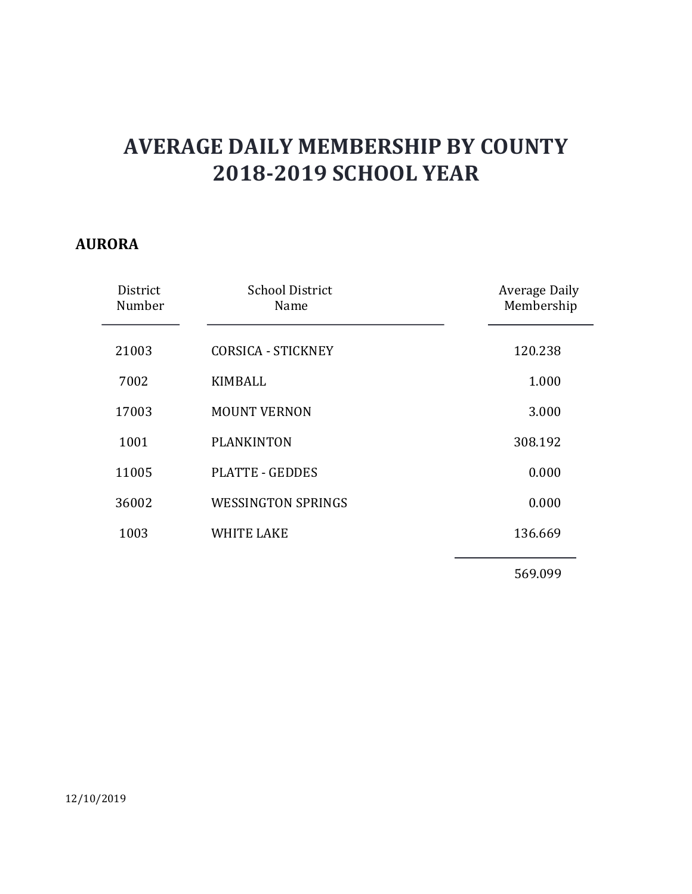### AURORA

|                    | <b>AVERAGE DAILY MEMBERSHIP BY COUNTY</b><br><b>2018-2019 SCHOOL YEAR</b> |                             |
|--------------------|---------------------------------------------------------------------------|-----------------------------|
| <b>ORA</b>         |                                                                           |                             |
| District<br>Number | <b>School District</b><br>Name                                            | Average Daily<br>Membership |
| 21003              | <b>CORSICA - STICKNEY</b>                                                 | 120.238                     |
| 7002               | <b>KIMBALL</b>                                                            | 1.000                       |
| 17003              | <b>MOUNT VERNON</b>                                                       | 3.000                       |
| 1001               | <b>PLANKINTON</b>                                                         | 308.192                     |
| 11005              | <b>PLATTE - GEDDES</b>                                                    | 0.000                       |
| 36002              | <b>WESSINGTON SPRINGS</b>                                                 | 0.000                       |
| 1003               | <b>WHITE LAKE</b>                                                         | 136.669                     |
|                    |                                                                           | 569.099                     |
|                    |                                                                           |                             |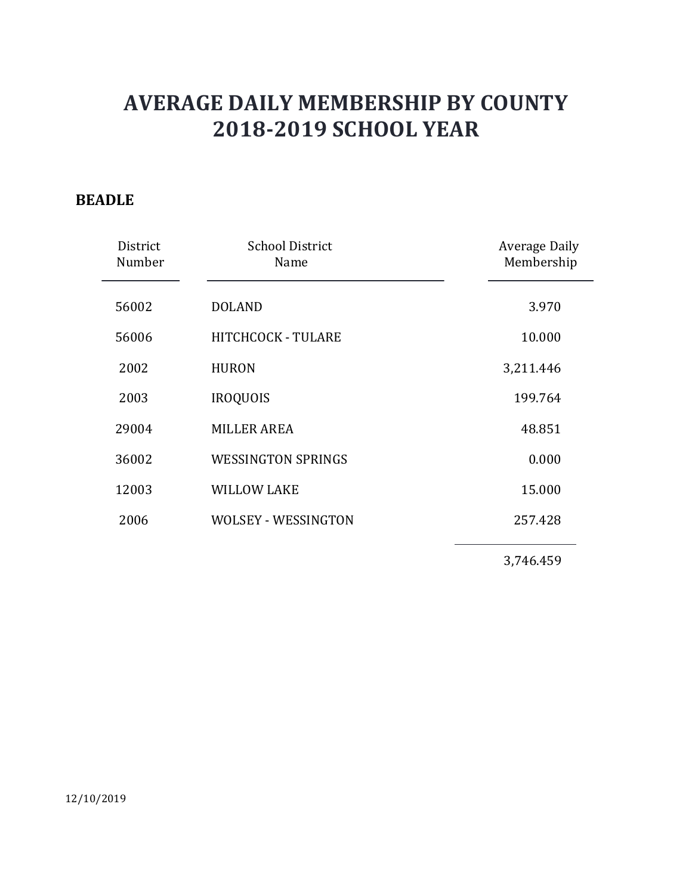#### BEADLE

| <b>School District</b><br><b>Average Daily</b><br>District<br>Membership<br>Number<br>Name<br>3.970<br>56002<br><b>DOLAND</b><br>56006<br>HITCHCOCK - TULARE<br>10.000<br>2002<br>3,211.446<br><b>HURON</b><br>2003<br><b>IROQUOIS</b><br>199.764<br>29004<br><b>MILLER AREA</b><br>48.851<br><b>WESSINGTON SPRINGS</b><br>0.000<br>36002<br>15.000<br>12003<br><b>WILLOW LAKE</b><br><b>WOLSEY - WESSINGTON</b><br>2006<br>257.428<br>3,746.459 |            | <b>AVERAGE DAILY MEMBERSHIP BY COUNTY</b><br><b>2018-2019 SCHOOL YEAR</b> |  |
|--------------------------------------------------------------------------------------------------------------------------------------------------------------------------------------------------------------------------------------------------------------------------------------------------------------------------------------------------------------------------------------------------------------------------------------------------|------------|---------------------------------------------------------------------------|--|
|                                                                                                                                                                                                                                                                                                                                                                                                                                                  | <b>DLE</b> |                                                                           |  |
|                                                                                                                                                                                                                                                                                                                                                                                                                                                  |            |                                                                           |  |
|                                                                                                                                                                                                                                                                                                                                                                                                                                                  |            |                                                                           |  |
|                                                                                                                                                                                                                                                                                                                                                                                                                                                  |            |                                                                           |  |
|                                                                                                                                                                                                                                                                                                                                                                                                                                                  |            |                                                                           |  |
|                                                                                                                                                                                                                                                                                                                                                                                                                                                  |            |                                                                           |  |
|                                                                                                                                                                                                                                                                                                                                                                                                                                                  |            |                                                                           |  |
|                                                                                                                                                                                                                                                                                                                                                                                                                                                  |            |                                                                           |  |
|                                                                                                                                                                                                                                                                                                                                                                                                                                                  |            |                                                                           |  |
|                                                                                                                                                                                                                                                                                                                                                                                                                                                  |            |                                                                           |  |
|                                                                                                                                                                                                                                                                                                                                                                                                                                                  |            |                                                                           |  |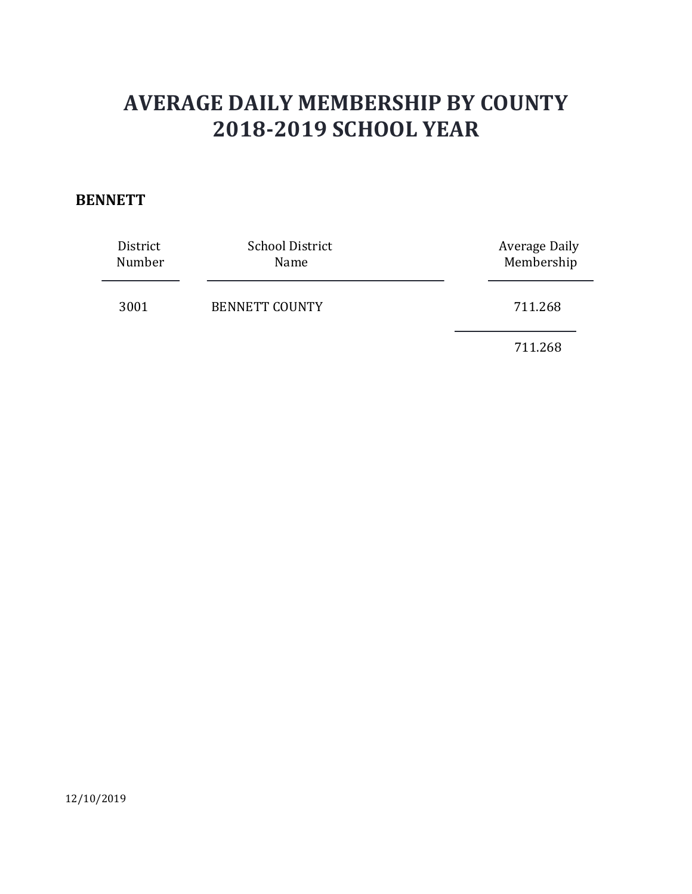### **BENNETT**

| <b>AVERAGE DAILY MEMBERSHIP BY COUNTY</b> |                                                                |                                    |
|-------------------------------------------|----------------------------------------------------------------|------------------------------------|
| <b>NETT</b><br>District<br>Number         | <b>2018-2019 SCHOOL YEAR</b><br><b>School District</b><br>Name | <b>Average Daily</b><br>Membership |
| 3001                                      | <b>BENNETT COUNTY</b>                                          | 711.268<br>711.268                 |

12/10/2019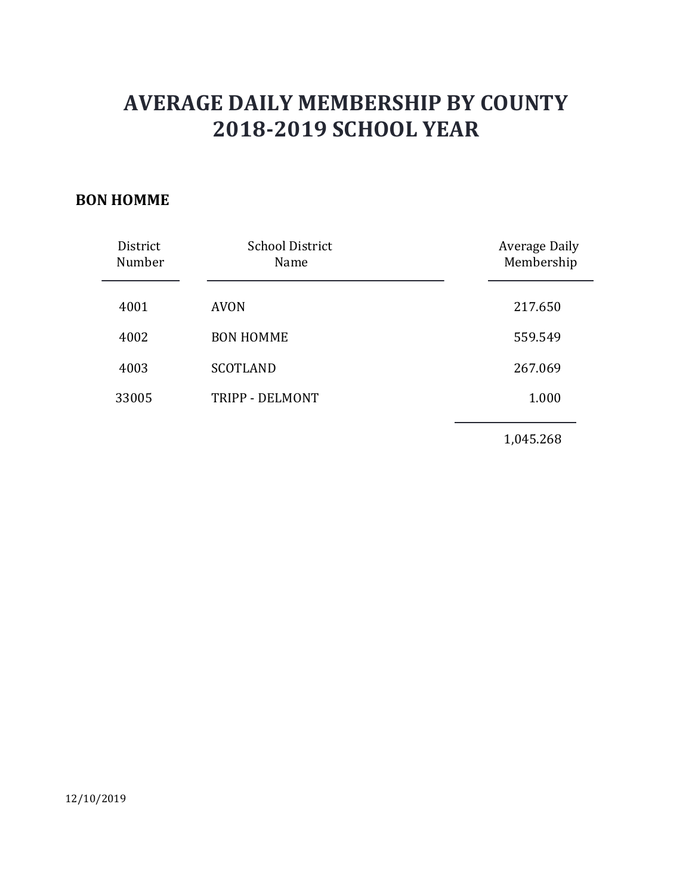### BON HOMME

|                    |                                | <b>AVERAGE DAILY MEMBERSHIP BY COUNTY</b> |
|--------------------|--------------------------------|-------------------------------------------|
|                    | <b>2018-2019 SCHOOL YEAR</b>   |                                           |
| <b>N HOMME</b>     |                                |                                           |
|                    |                                |                                           |
| District<br>Number | <b>School District</b><br>Name | <b>Average Daily</b><br>Membership        |
| 4001               | <b>AVON</b>                    | 217.650                                   |
| 4002               | <b>BON HOMME</b>               | 559.549                                   |
| 4003               | <b>SCOTLAND</b>                | 267.069                                   |
| 33005              | TRIPP - DELMONT                | 1.000                                     |
|                    |                                |                                           |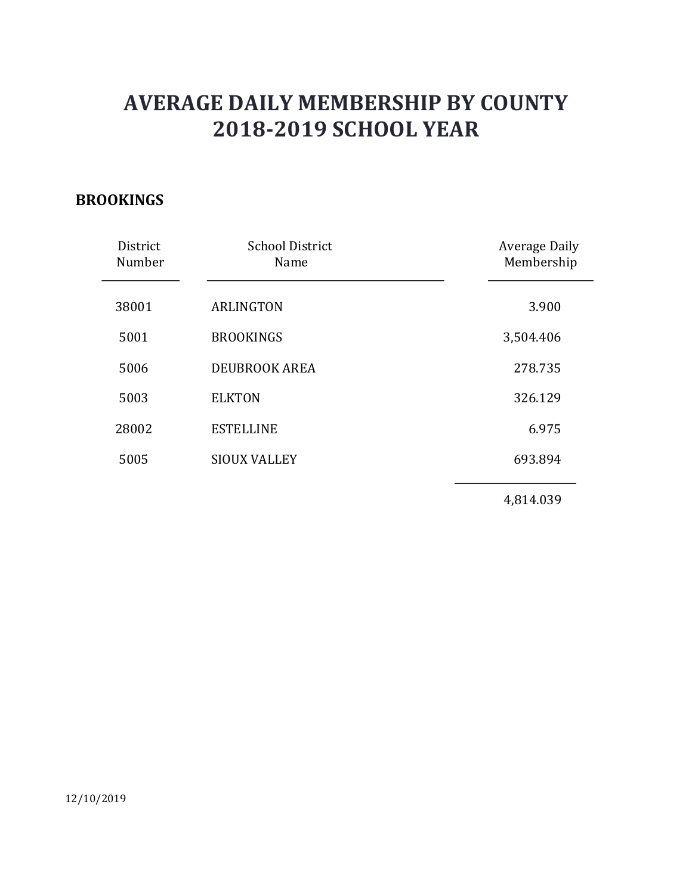### BROOKINGS

|                    | <b>AVERAGE DAILY MEMBERSHIP BY COUNTY</b><br><b>2018-2019 SCHOOL YEAR</b> |                             |
|--------------------|---------------------------------------------------------------------------|-----------------------------|
| <b>DOKINGS</b>     |                                                                           |                             |
| District<br>Number | <b>School District</b><br>Name                                            | Average Daily<br>Membership |
| 38001              | <b>ARLINGTON</b>                                                          | 3.900                       |
| 5001               | <b>BROOKINGS</b>                                                          | 3,504.406                   |
| 5006               | DEUBROOK AREA                                                             | 278.735                     |
| 5003               | <b>ELKTON</b>                                                             | 326.129                     |
| 28002              | <b>ESTELLINE</b>                                                          | 6.975                       |
| 5005               | <b>SIOUX VALLEY</b>                                                       | 693.894                     |
|                    |                                                                           | 4,814.039                   |
|                    |                                                                           |                             |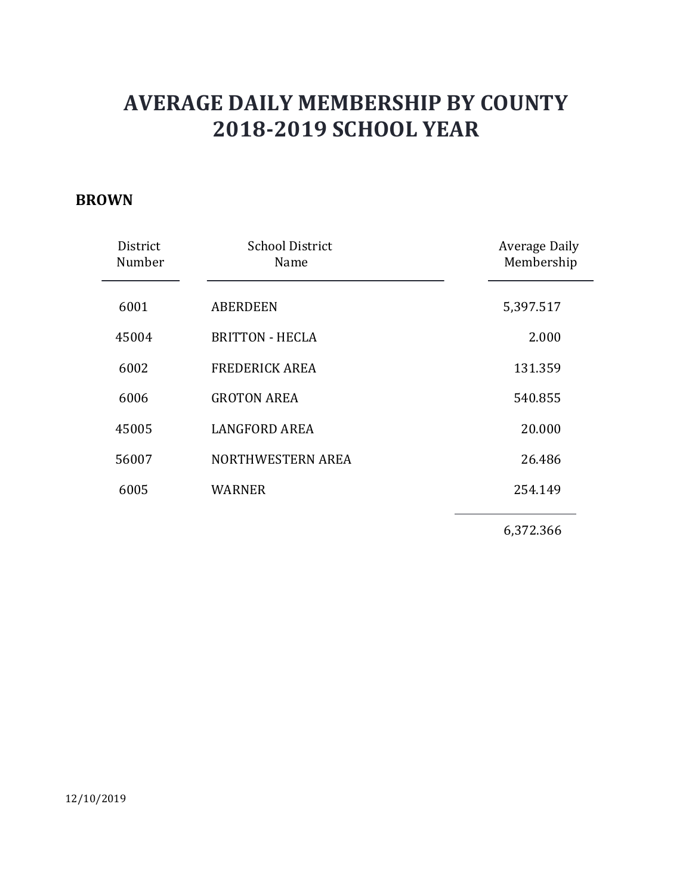#### BROWN

|                    | <b>AVERAGE DAILY MEMBERSHIP BY COUNTY</b><br><b>2018-2019 SCHOOL YEAR</b> |                             |
|--------------------|---------------------------------------------------------------------------|-----------------------------|
| <b>WN</b>          |                                                                           |                             |
| District<br>Number | <b>School District</b><br>Name                                            | Average Daily<br>Membership |
| 6001               | <b>ABERDEEN</b>                                                           | 5,397.517                   |
| 45004              | <b>BRITTON - HECLA</b>                                                    | 2.000                       |
| 6002               | <b>FREDERICK AREA</b>                                                     | 131.359                     |
| 6006               | <b>GROTON AREA</b>                                                        | 540.855                     |
| 45005              | <b>LANGFORD AREA</b>                                                      | 20.000                      |
| 56007              | NORTHWESTERN AREA                                                         | 26.486                      |
| 6005               | <b>WARNER</b>                                                             | 254.149                     |
|                    |                                                                           | 6,372.366                   |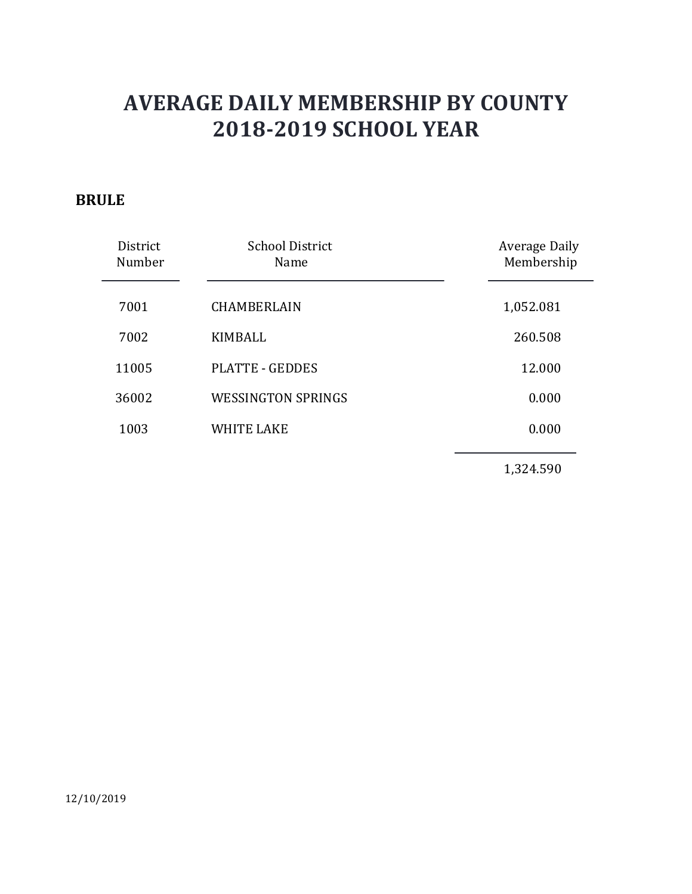### BRULE

| <b>AVERAGE DAILY MEMBERSHIP BY COUNTY</b><br><b>2018-2019 SCHOOL YEAR</b> |                                |                             |
|---------------------------------------------------------------------------|--------------------------------|-----------------------------|
| <b>ULE</b>                                                                |                                |                             |
| District<br>Number                                                        | <b>School District</b><br>Name | Average Daily<br>Membership |
| 7001                                                                      | CHAMBERLAIN                    | 1,052.081                   |
| 7002                                                                      | <b>KIMBALL</b>                 | 260.508                     |
| 11005                                                                     | <b>PLATTE - GEDDES</b>         | 12.000                      |
| 36002                                                                     | <b>WESSINGTON SPRINGS</b>      | 0.000                       |
| 1003                                                                      | <b>WHITE LAKE</b>              | 0.000                       |
|                                                                           |                                | 1,324.590                   |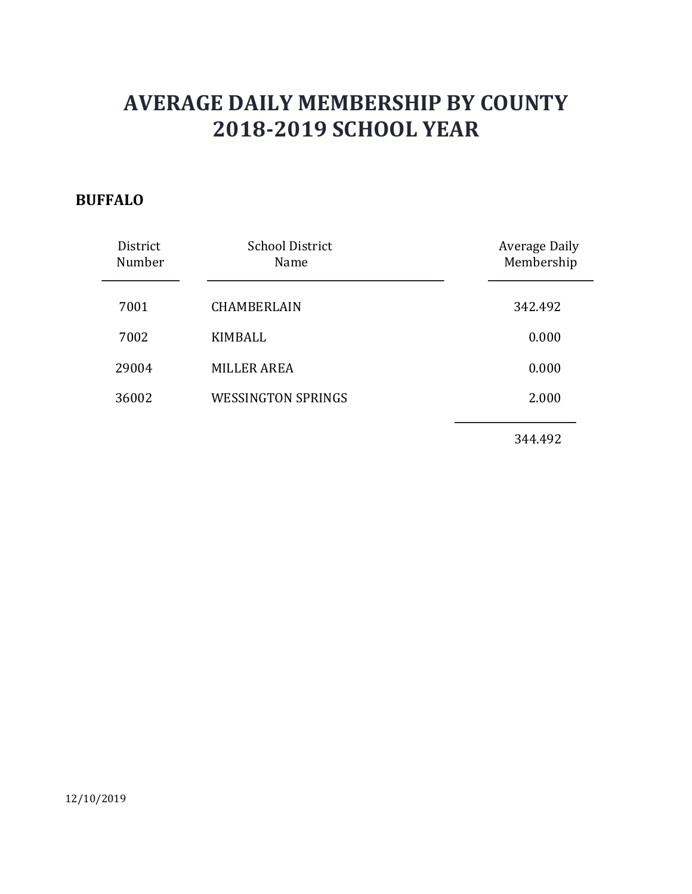### BUFFALO

|                    | <b>AVERAGE DAILY MEMBERSHIP BY COUNTY</b> |                             |
|--------------------|-------------------------------------------|-----------------------------|
|                    | <b>2018-2019 SCHOOL YEAR</b>              |                             |
| FALO               |                                           |                             |
| District<br>Number | <b>School District</b><br>Name            | Average Daily<br>Membership |
| 7001               | CHAMBERLAIN                               | 342.492                     |
| 7002               | <b>KIMBALL</b>                            | 0.000                       |
| 29004              | <b>MILLER AREA</b>                        | 0.000                       |
| 36002              | <b>WESSINGTON SPRINGS</b>                 | 2.000                       |
|                    |                                           |                             |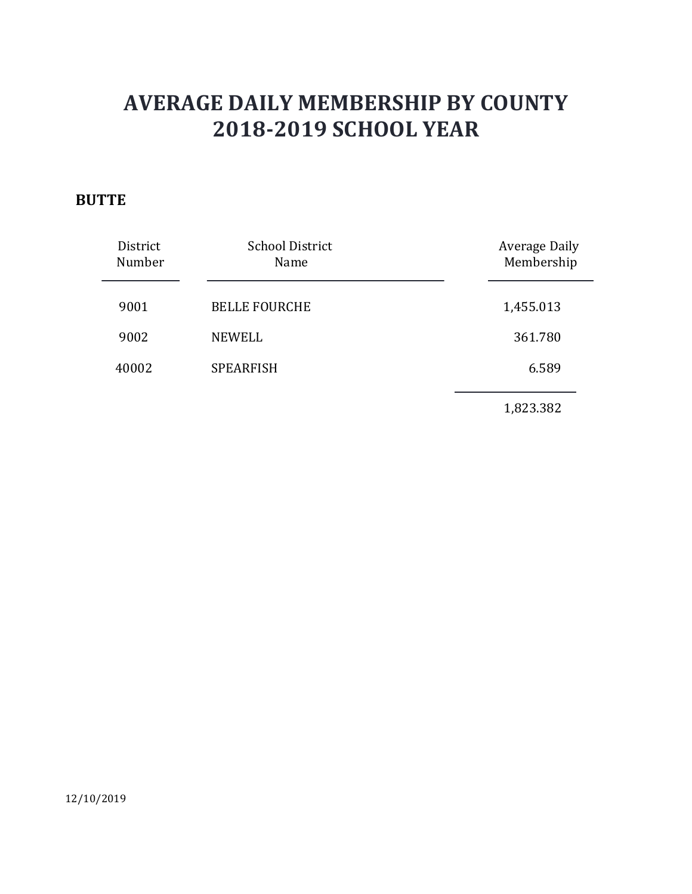### **BUTTE**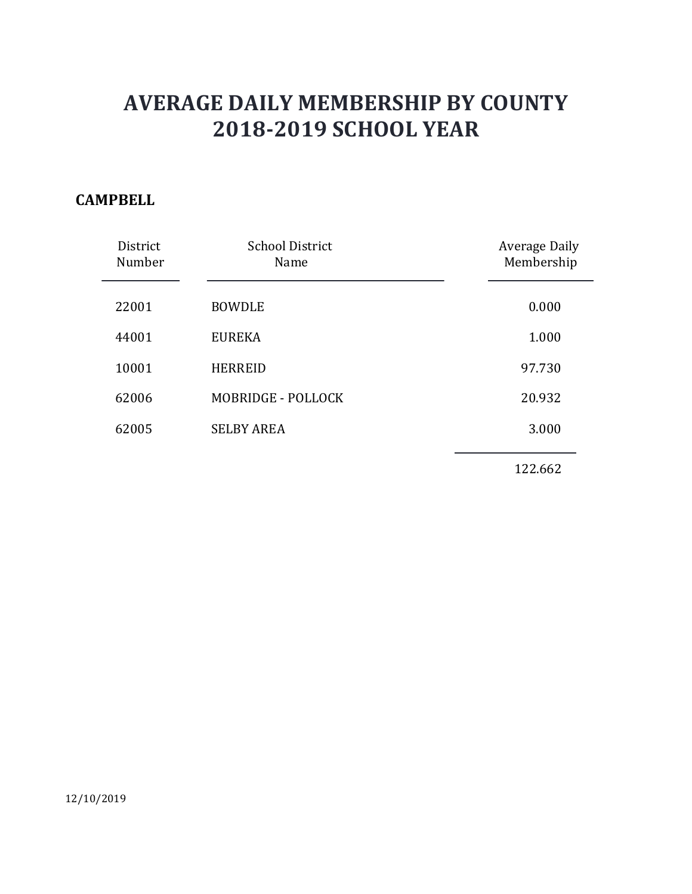### **CAMPBELL**

| <b>AVERAGE DAILY MEMBERSHIP BY COUNTY</b><br><b>2018-2019 SCHOOL YEAR</b> |                                |                             |
|---------------------------------------------------------------------------|--------------------------------|-----------------------------|
| <b>IPBELL</b>                                                             |                                |                             |
| District<br>Number                                                        | <b>School District</b><br>Name | Average Daily<br>Membership |
| 22001                                                                     | <b>BOWDLE</b>                  | 0.000                       |
| 44001                                                                     | <b>EUREKA</b>                  | 1.000                       |
| 10001                                                                     | <b>HERREID</b>                 | 97.730                      |
| 62006                                                                     | MOBRIDGE - POLLOCK             | 20.932                      |
| 62005                                                                     | <b>SELBY AREA</b>              | 3.000                       |
|                                                                           |                                | 122.662                     |
|                                                                           |                                |                             |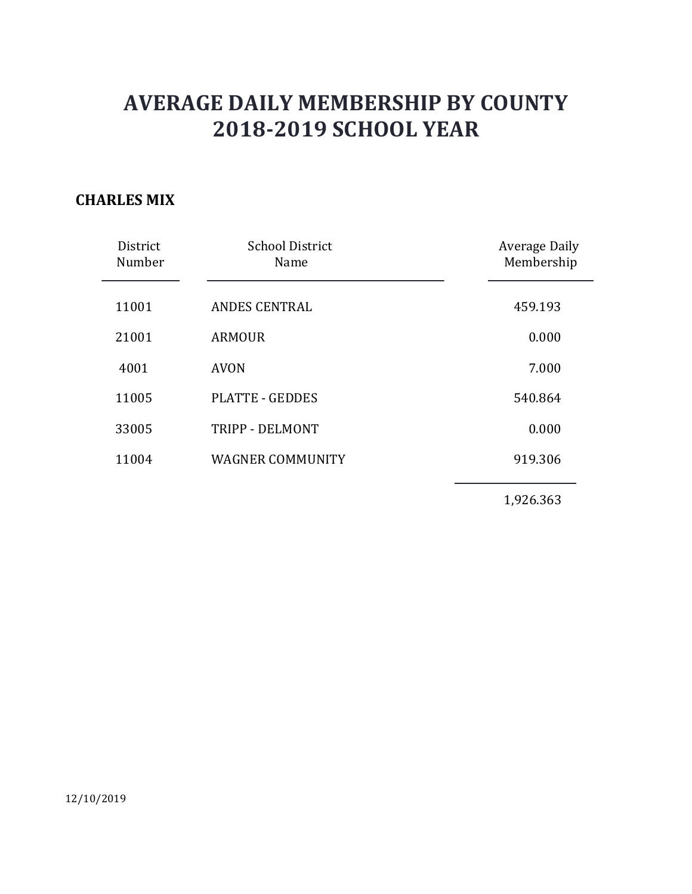### CHARLES MIX

|                    | <b>AVERAGE DAILY MEMBERSHIP BY COUNTY</b><br><b>2018-2019 SCHOOL YEAR</b> |                             |
|--------------------|---------------------------------------------------------------------------|-----------------------------|
| <b>RLES MIX</b>    |                                                                           |                             |
| District<br>Number | <b>School District</b><br>Name                                            | Average Daily<br>Membership |
| 11001              | <b>ANDES CENTRAL</b>                                                      | 459.193                     |
| 21001              | <b>ARMOUR</b>                                                             | 0.000                       |
| 4001               | <b>AVON</b>                                                               | 7.000                       |
| 11005              | <b>PLATTE - GEDDES</b>                                                    | 540.864                     |
| 33005              | TRIPP - DELMONT                                                           | 0.000                       |
| 11004              | <b>WAGNER COMMUNITY</b>                                                   | 919.306                     |
|                    |                                                                           | 1,926.363                   |
|                    |                                                                           |                             |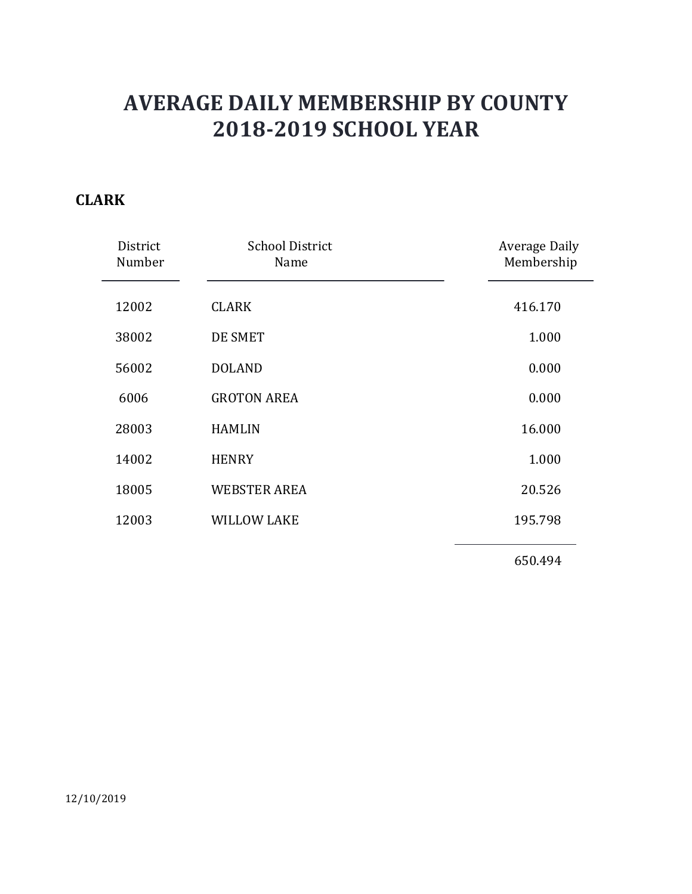### CLARK

|                    | <b>AVERAGE DAILY MEMBERSHIP BY COUNTY</b> |                                    |
|--------------------|-------------------------------------------|------------------------------------|
|                    | <b>2018-2019 SCHOOL YEAR</b>              |                                    |
| <b>RK</b>          |                                           |                                    |
| District<br>Number | <b>School District</b><br>Name            | <b>Average Daily</b><br>Membership |
| 12002              | <b>CLARK</b>                              | 416.170                            |
| 38002              | DE SMET                                   | 1.000                              |
| 56002              | <b>DOLAND</b>                             | 0.000                              |
| 6006               | <b>GROTON AREA</b>                        | 0.000                              |
| 28003              | <b>HAMLIN</b>                             | 16.000                             |
| 14002              | <b>HENRY</b>                              | 1.000                              |
| 18005              | <b>WEBSTER AREA</b>                       | 20.526                             |
| 12003              | <b>WILLOW LAKE</b>                        | 195.798                            |
|                    |                                           | 650.494                            |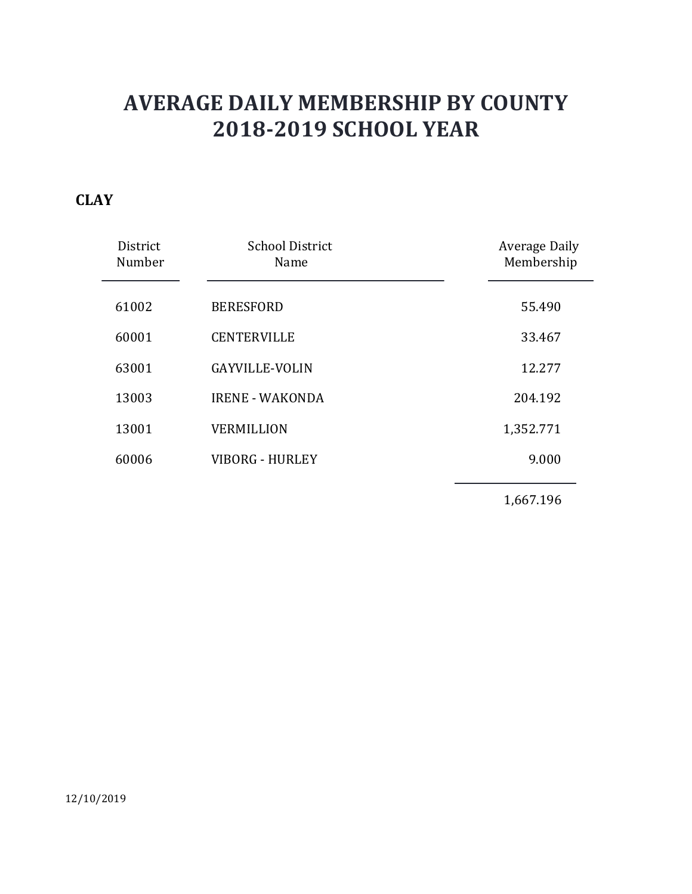### **CLAY**

|                    | <b>AVERAGE DAILY MEMBERSHIP BY COUNTY</b><br><b>2018-2019 SCHOOL YEAR</b> |                             |
|--------------------|---------------------------------------------------------------------------|-----------------------------|
| Y                  |                                                                           |                             |
| District<br>Number | <b>School District</b><br>Name                                            | Average Daily<br>Membership |
| 61002              | <b>BERESFORD</b>                                                          | 55.490                      |
| 60001              | <b>CENTERVILLE</b>                                                        | 33.467                      |
| 63001              | <b>GAYVILLE-VOLIN</b>                                                     | 12.277                      |
| 13003              | <b>IRENE - WAKONDA</b>                                                    | 204.192                     |
| 13001              | <b>VERMILLION</b>                                                         | 1,352.771                   |
| 60006              | <b>VIBORG - HURLEY</b>                                                    | 9.000                       |
|                    |                                                                           | 1,667.196                   |
|                    |                                                                           |                             |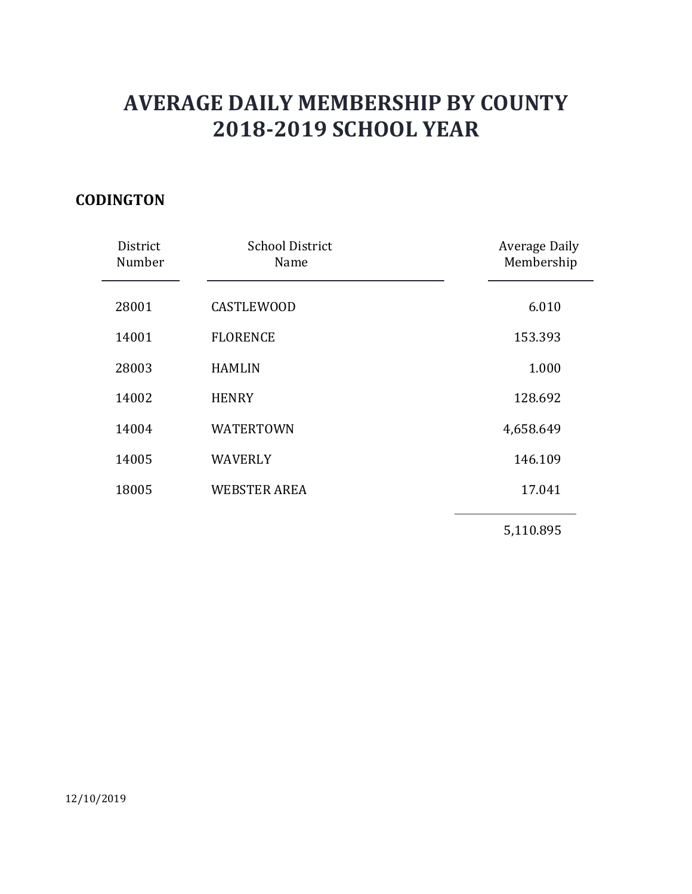### **CODINGTON**

|                    | <b>AVERAGE DAILY MEMBERSHIP BY COUNTY</b><br><b>2018-2019 SCHOOL YEAR</b> |                             |  |
|--------------------|---------------------------------------------------------------------------|-----------------------------|--|
| <b>DINGTON</b>     |                                                                           |                             |  |
| District<br>Number | <b>School District</b><br>Name                                            | Average Daily<br>Membership |  |
| 28001              | <b>CASTLEWOOD</b>                                                         | 6.010                       |  |
| 14001              | <b>FLORENCE</b>                                                           | 153.393                     |  |
| 28003              | <b>HAMLIN</b>                                                             | 1.000                       |  |
| 14002              | <b>HENRY</b>                                                              | 128.692                     |  |
| 14004              | WATERTOWN                                                                 | 4,658.649                   |  |
| 14005              | <b>WAVERLY</b>                                                            | 146.109                     |  |
| 18005              | <b>WEBSTER AREA</b>                                                       | 17.041                      |  |
|                    |                                                                           | 5,110.895                   |  |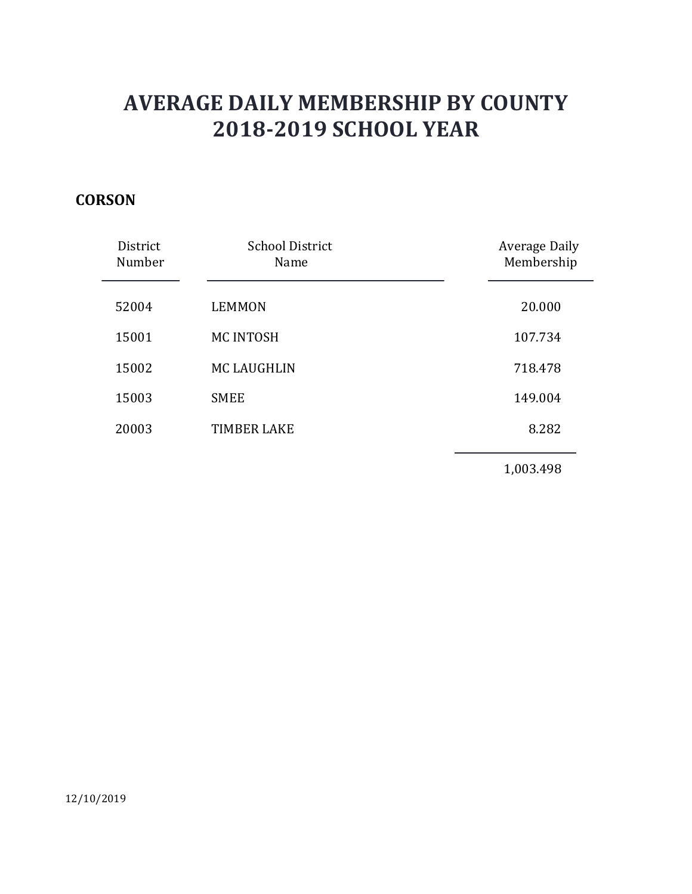### **CORSON**

|                    | <b>AVERAGE DAILY MEMBERSHIP BY COUNTY</b><br><b>2018-2019 SCHOOL YEAR</b> |                             |  |
|--------------------|---------------------------------------------------------------------------|-----------------------------|--|
| <b>SON</b>         |                                                                           |                             |  |
| District<br>Number | <b>School District</b><br>Name                                            | Average Daily<br>Membership |  |
| 52004              | <b>LEMMON</b>                                                             | 20.000                      |  |
| 15001              | MC INTOSH                                                                 | 107.734                     |  |
| 15002              | <b>MC LAUGHLIN</b>                                                        | 718.478                     |  |
| 15003              | <b>SMEE</b>                                                               | 149.004                     |  |
| 20003              | <b>TIMBER LAKE</b>                                                        | 8.282                       |  |
|                    |                                                                           | 1,003.498                   |  |
|                    |                                                                           |                             |  |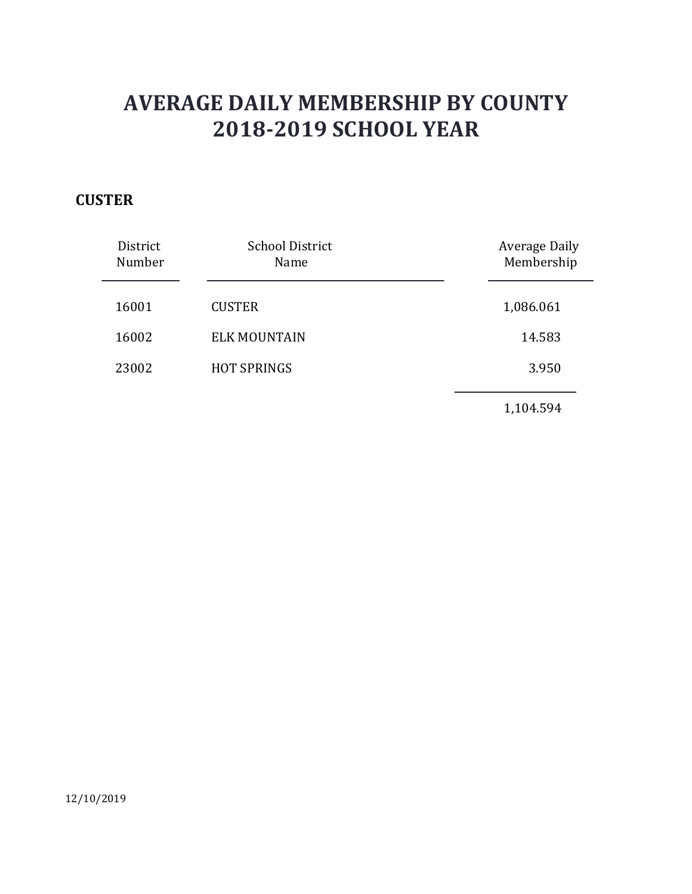### **CUSTER**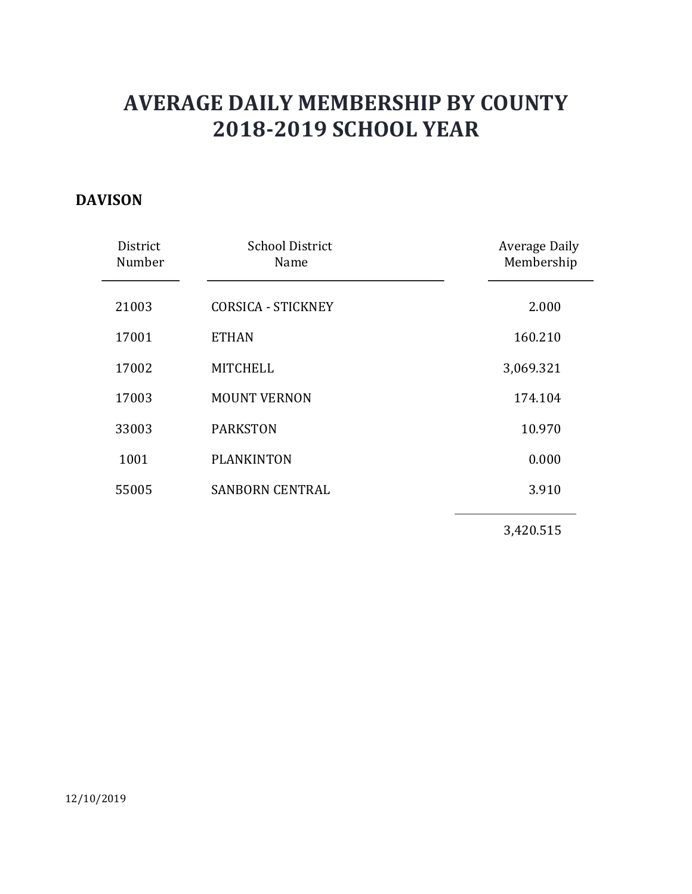#### DAVISON

|                    | <b>AVERAGE DAILY MEMBERSHIP BY COUNTY</b><br><b>2018-2019 SCHOOL YEAR</b> |                             |  |
|--------------------|---------------------------------------------------------------------------|-----------------------------|--|
| <b>ISON</b>        |                                                                           |                             |  |
| District<br>Number | <b>School District</b><br>Name                                            | Average Daily<br>Membership |  |
| 21003              | <b>CORSICA - STICKNEY</b>                                                 | 2.000                       |  |
| 17001              | <b>ETHAN</b>                                                              | 160.210                     |  |
| 17002              | <b>MITCHELL</b>                                                           | 3,069.321                   |  |
| 17003              | <b>MOUNT VERNON</b>                                                       | 174.104                     |  |
| 33003              | <b>PARKSTON</b>                                                           | 10.970                      |  |
| 1001               | <b>PLANKINTON</b>                                                         | 0.000                       |  |
| 55005              | <b>SANBORN CENTRAL</b>                                                    | 3.910                       |  |
|                    |                                                                           | 3,420.515                   |  |
|                    |                                                                           |                             |  |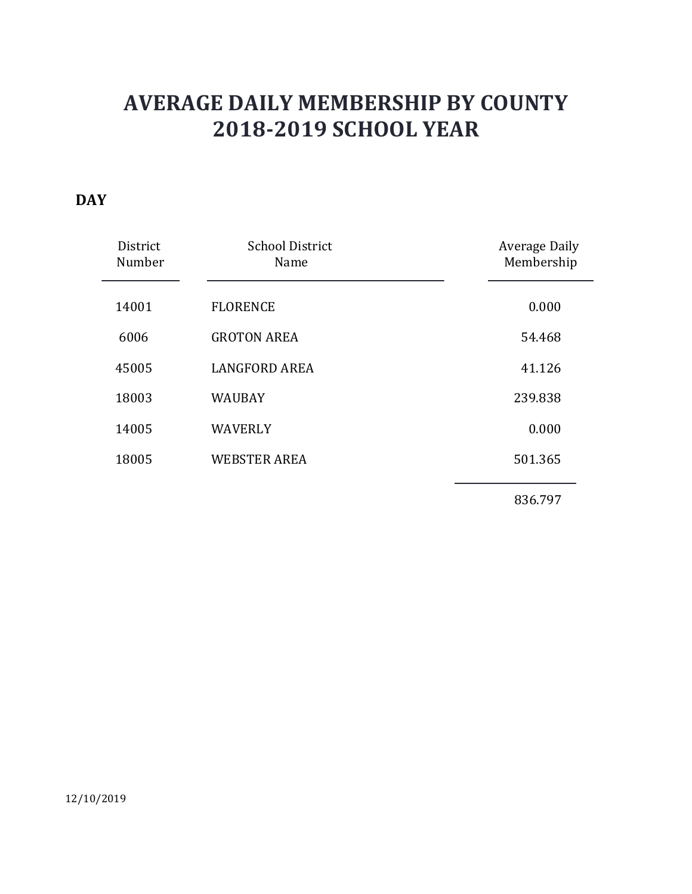### **DAY**

|                    | <b>AVERAGE DAILY MEMBERSHIP BY COUNTY</b><br><b>2018-2019 SCHOOL YEAR</b> |                             |
|--------------------|---------------------------------------------------------------------------|-----------------------------|
| District<br>Number | <b>School District</b><br>Name                                            | Average Daily<br>Membership |
|                    |                                                                           |                             |
| 14001              | <b>FLORENCE</b>                                                           | 0.000                       |
| 6006               | <b>GROTON AREA</b>                                                        | 54.468                      |
| 45005              | <b>LANGFORD AREA</b>                                                      | 41.126                      |
| 18003              | <b>WAUBAY</b>                                                             | 239.838                     |
| 14005              | WAVERLY                                                                   | 0.000                       |
| 18005              | <b>WEBSTER AREA</b>                                                       | 501.365                     |
|                    |                                                                           | 836.797                     |
|                    |                                                                           |                             |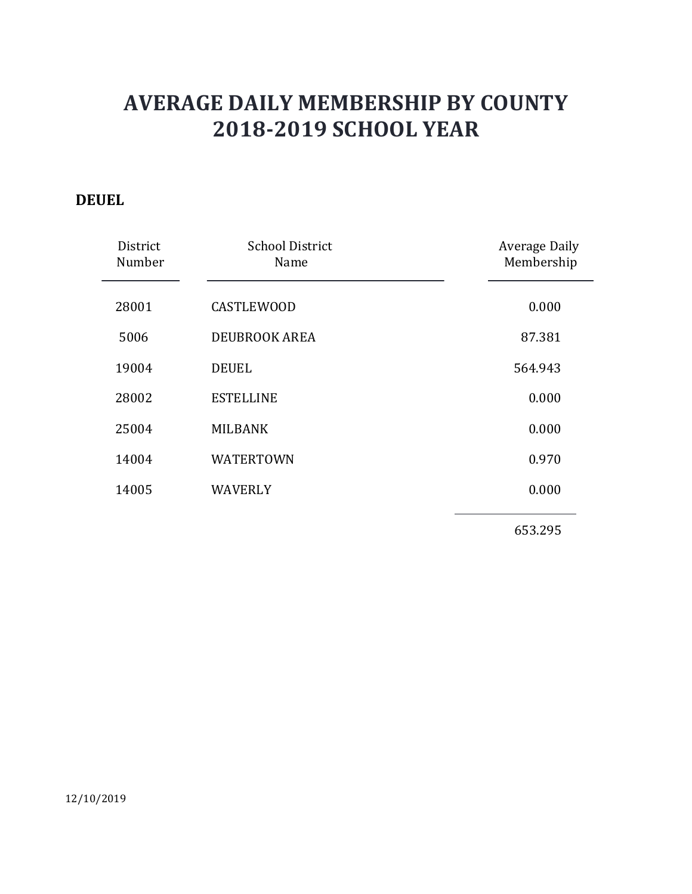### DEUEL

|                    | <b>AVERAGE DAILY MEMBERSHIP BY COUNTY</b> |                             |
|--------------------|-------------------------------------------|-----------------------------|
| JEL                | <b>2018-2019 SCHOOL YEAR</b>              |                             |
| District<br>Number | <b>School District</b><br>Name            | Average Daily<br>Membership |
| 28001              | <b>CASTLEWOOD</b>                         | 0.000                       |
| 5006               | DEUBROOK AREA                             | 87.381                      |
| 19004              | <b>DEUEL</b>                              | 564.943                     |
| 28002              | <b>ESTELLINE</b>                          | 0.000                       |
| 25004              | <b>MILBANK</b>                            | 0.000                       |
| 14004              | <b>WATERTOWN</b>                          | 0.970                       |
| 14005              | <b>WAVERLY</b>                            | 0.000                       |
|                    |                                           | 653.295                     |
|                    |                                           |                             |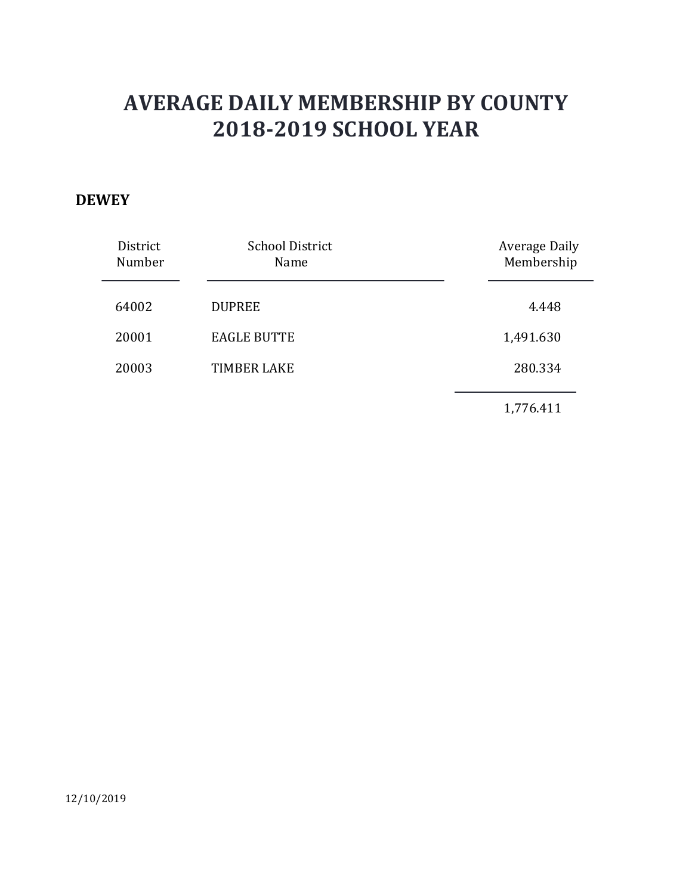#### **DEWEY**

| VEY                | <b>AVERAGE DAILY MEMBERSHIP BY COUNTY</b><br><b>2018-2019 SCHOOL YEAR</b> |                                    |
|--------------------|---------------------------------------------------------------------------|------------------------------------|
| District<br>Number | <b>School District</b><br>Name                                            | <b>Average Daily</b><br>Membership |
| 64002              | <b>DUPREE</b>                                                             | 4.448                              |
| 20001              | <b>EAGLE BUTTE</b>                                                        | 1,491.630                          |
| 20003              | <b>TIMBER LAKE</b>                                                        | 280.334                            |
|                    |                                                                           | 1,776.411                          |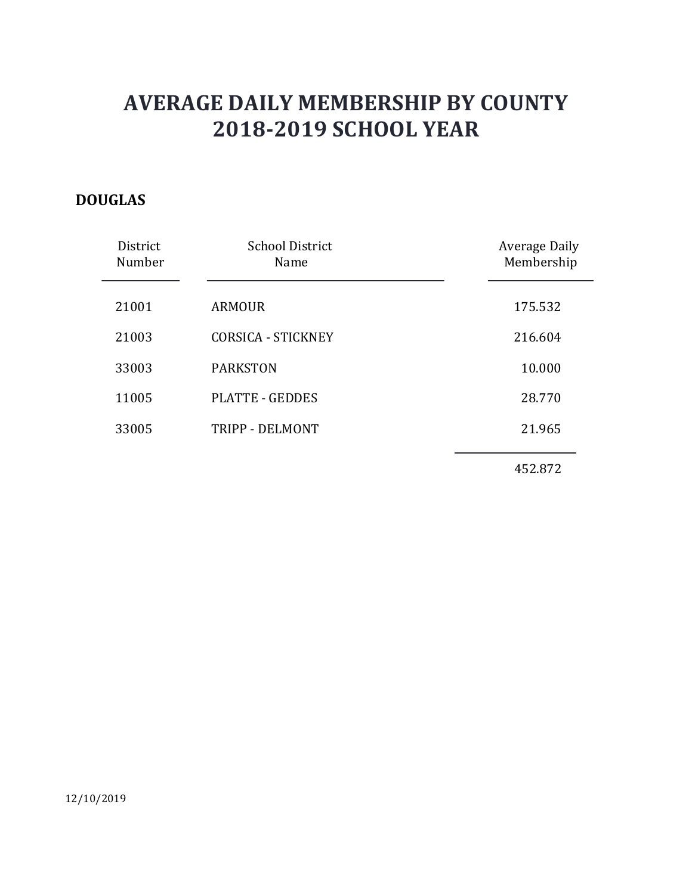### DOUGLAS

|                    | <b>AVERAGE DAILY MEMBERSHIP BY COUNTY</b><br><b>2018-2019 SCHOOL YEAR</b> |                             |
|--------------------|---------------------------------------------------------------------------|-----------------------------|
| <b>JGLAS</b>       |                                                                           |                             |
| District<br>Number | <b>School District</b><br>Name                                            | Average Daily<br>Membership |
| 21001              | <b>ARMOUR</b>                                                             | 175.532                     |
| 21003              | <b>CORSICA - STICKNEY</b>                                                 | 216.604                     |
| 33003              | <b>PARKSTON</b>                                                           | 10.000                      |
| 11005              | <b>PLATTE - GEDDES</b>                                                    | 28.770                      |
| 33005              | TRIPP - DELMONT                                                           | 21.965                      |
|                    |                                                                           | 452.872                     |
|                    |                                                                           |                             |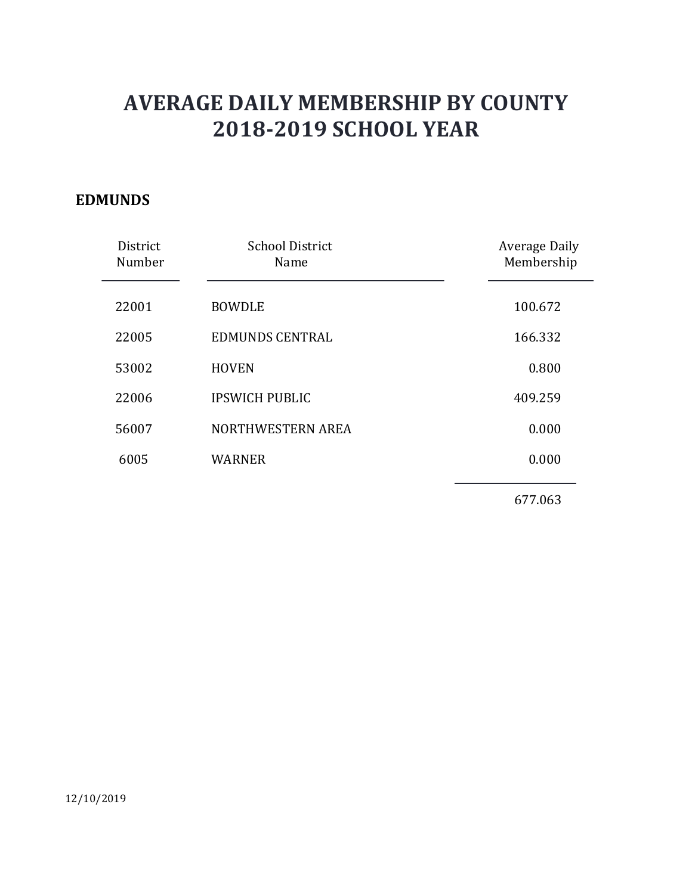### EDMUNDS

| <b>AVERAGE DAILY MEMBERSHIP BY COUNTY</b><br><b>2018-2019 SCHOOL YEAR</b><br>Average Daily<br><b>School District</b><br>District<br>Membership<br>Number<br>Name<br><b>BOWDLE</b><br>100.672<br><b>EDMUNDS CENTRAL</b><br>166.332<br><b>HOVEN</b><br>0.800<br><b>IPSWICH PUBLIC</b><br>409.259<br>0.000<br>NORTHWESTERN AREA<br>0.000<br>6005<br><b>WARNER</b><br>677.063 |              |  |  |
|---------------------------------------------------------------------------------------------------------------------------------------------------------------------------------------------------------------------------------------------------------------------------------------------------------------------------------------------------------------------------|--------------|--|--|
|                                                                                                                                                                                                                                                                                                                                                                           |              |  |  |
|                                                                                                                                                                                                                                                                                                                                                                           | <b>IUNDS</b> |  |  |
|                                                                                                                                                                                                                                                                                                                                                                           |              |  |  |
|                                                                                                                                                                                                                                                                                                                                                                           | 22001        |  |  |
|                                                                                                                                                                                                                                                                                                                                                                           | 22005        |  |  |
|                                                                                                                                                                                                                                                                                                                                                                           | 53002        |  |  |
|                                                                                                                                                                                                                                                                                                                                                                           | 22006        |  |  |
|                                                                                                                                                                                                                                                                                                                                                                           | 56007        |  |  |
|                                                                                                                                                                                                                                                                                                                                                                           |              |  |  |
|                                                                                                                                                                                                                                                                                                                                                                           |              |  |  |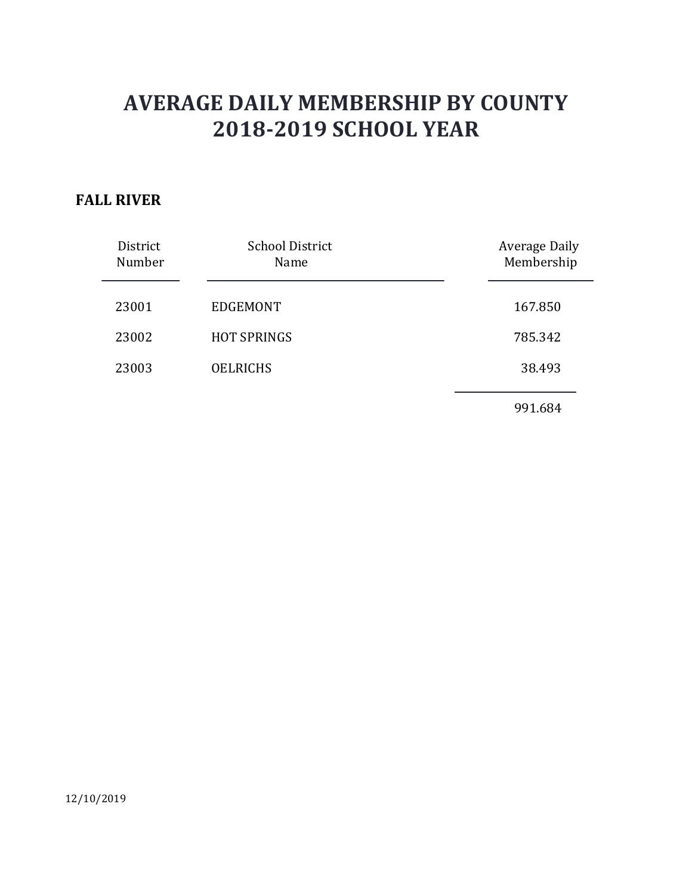### FALL RIVER

|                    | <b>AVERAGE DAILY MEMBERSHIP BY COUNTY</b><br><b>2018-2019 SCHOOL YEAR</b> |                             |
|--------------------|---------------------------------------------------------------------------|-----------------------------|
|                    |                                                                           |                             |
| <b>L RIVER</b>     |                                                                           |                             |
| District<br>Number | <b>School District</b><br>Name                                            | Average Daily<br>Membership |
| 23001              | <b>EDGEMONT</b>                                                           | 167.850                     |
| 23002              | <b>HOT SPRINGS</b>                                                        | 785.342                     |
| 23003              | <b>OELRICHS</b>                                                           | 38.493                      |
|                    |                                                                           | 991.684                     |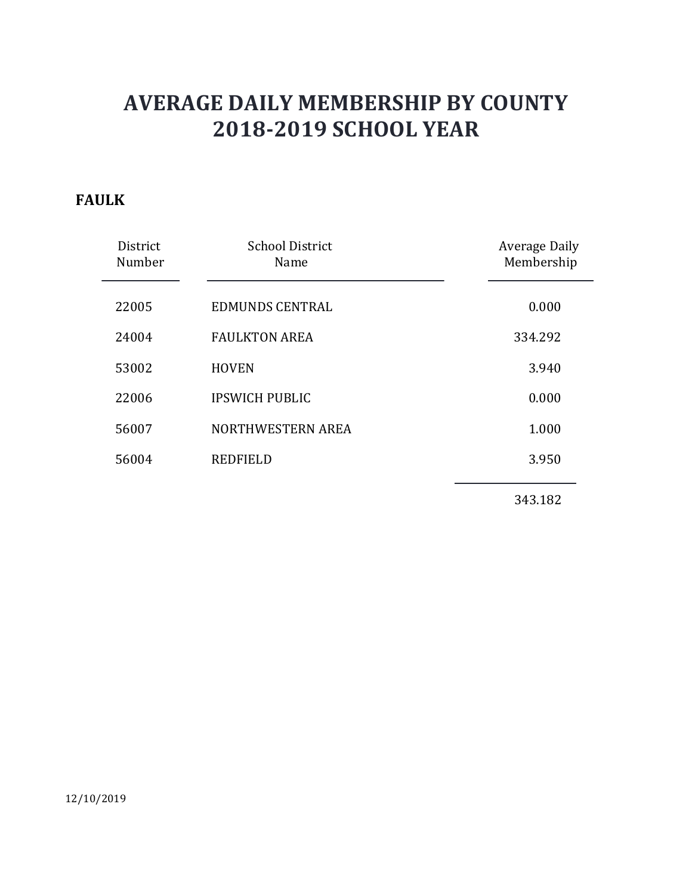### FAULK

|                    | <b>AVERAGE DAILY MEMBERSHIP BY COUNTY</b><br><b>2018-2019 SCHOOL YEAR</b> |                             |
|--------------------|---------------------------------------------------------------------------|-----------------------------|
| LK                 |                                                                           |                             |
| District<br>Number | <b>School District</b><br>Name                                            | Average Daily<br>Membership |
| 22005              | <b>EDMUNDS CENTRAL</b>                                                    | 0.000                       |
| 24004              | <b>FAULKTON AREA</b>                                                      | 334.292                     |
| 53002              | <b>HOVEN</b>                                                              | 3.940                       |
| 22006              | <b>IPSWICH PUBLIC</b>                                                     | 0.000                       |
| 56007              | NORTHWESTERN AREA                                                         | 1.000                       |
| 56004              | <b>REDFIELD</b>                                                           | 3.950                       |
|                    |                                                                           | 343.182                     |
|                    |                                                                           |                             |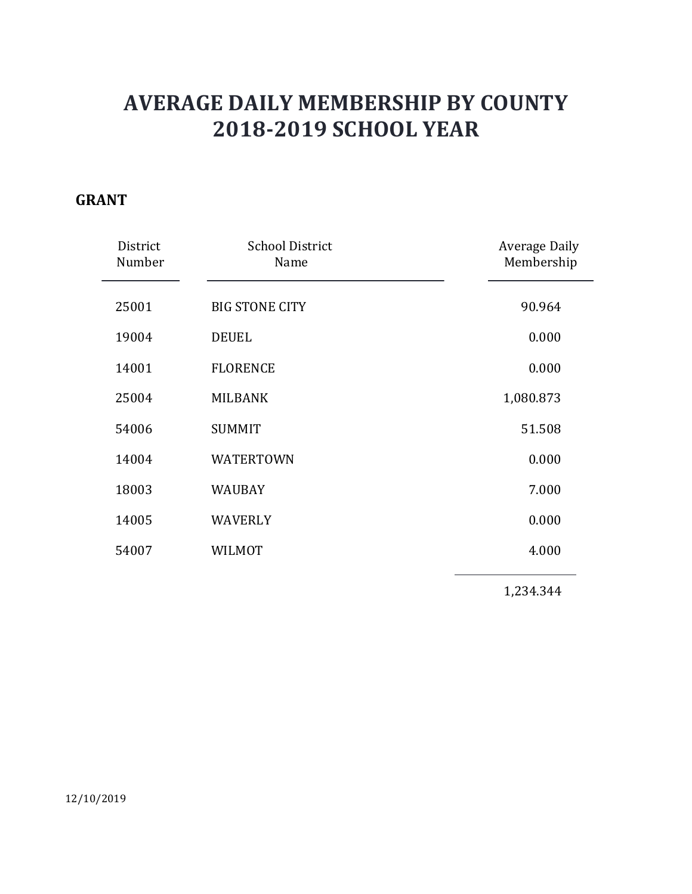### GRANT

|                    | <b>AVERAGE DAILY MEMBERSHIP BY COUNTY</b><br><b>2018-2019 SCHOOL YEAR</b> |                             |
|--------------------|---------------------------------------------------------------------------|-----------------------------|
| <b>NT</b>          |                                                                           |                             |
| District<br>Number | <b>School District</b><br>Name                                            | Average Daily<br>Membership |
| 25001              | <b>BIG STONE CITY</b>                                                     | 90.964                      |
| 19004              | <b>DEUEL</b>                                                              | 0.000                       |
| 14001              | <b>FLORENCE</b>                                                           | 0.000                       |
| 25004              | <b>MILBANK</b>                                                            | 1,080.873                   |
| 54006              | <b>SUMMIT</b>                                                             | 51.508                      |
| 14004              | <b>WATERTOWN</b>                                                          | 0.000                       |
| 18003              | WAUBAY                                                                    | 7.000                       |
| 14005              | WAVERLY                                                                   | 0.000                       |
| 54007              | WILMOT                                                                    | 4.000                       |
|                    |                                                                           | 1,234.344                   |
|                    |                                                                           |                             |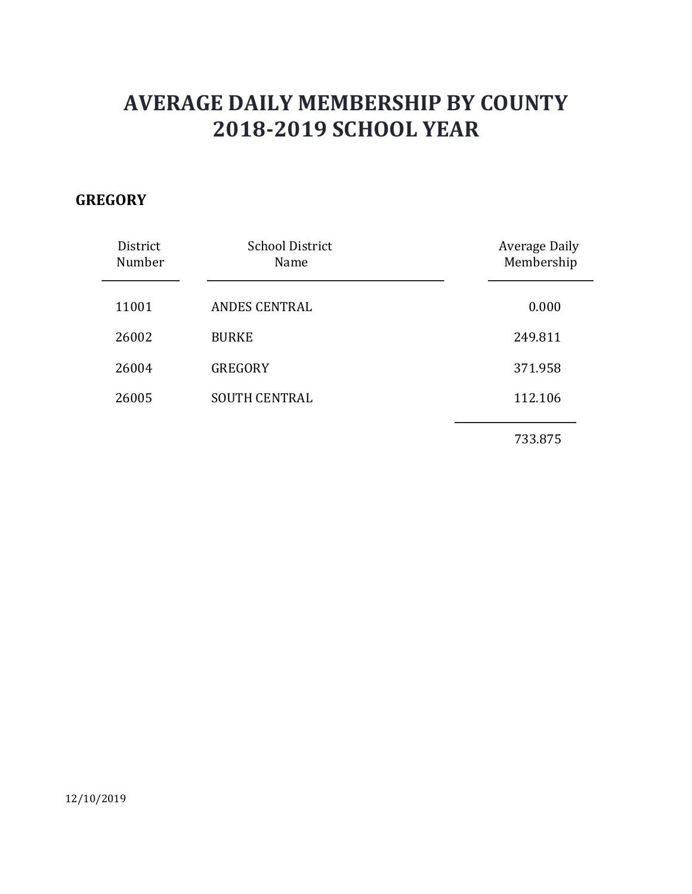### **GREGORY**

|                             | <b>AVERAGE DAILY MEMBERSHIP BY COUNTY</b><br><b>2018-2019 SCHOOL YEAR</b> |                             |
|-----------------------------|---------------------------------------------------------------------------|-----------------------------|
| EGORY<br>District<br>Number | <b>School District</b><br>Name                                            | Average Daily<br>Membership |
| 11001                       | ANDES CENTRAL                                                             | 0.000                       |
| 26002                       | <b>BURKE</b>                                                              | 249.811                     |
| 26004                       | GREGORY                                                                   | 371.958                     |
| 26005                       | <b>SOUTH CENTRAL</b>                                                      | 112.106                     |
|                             |                                                                           | 733.875                     |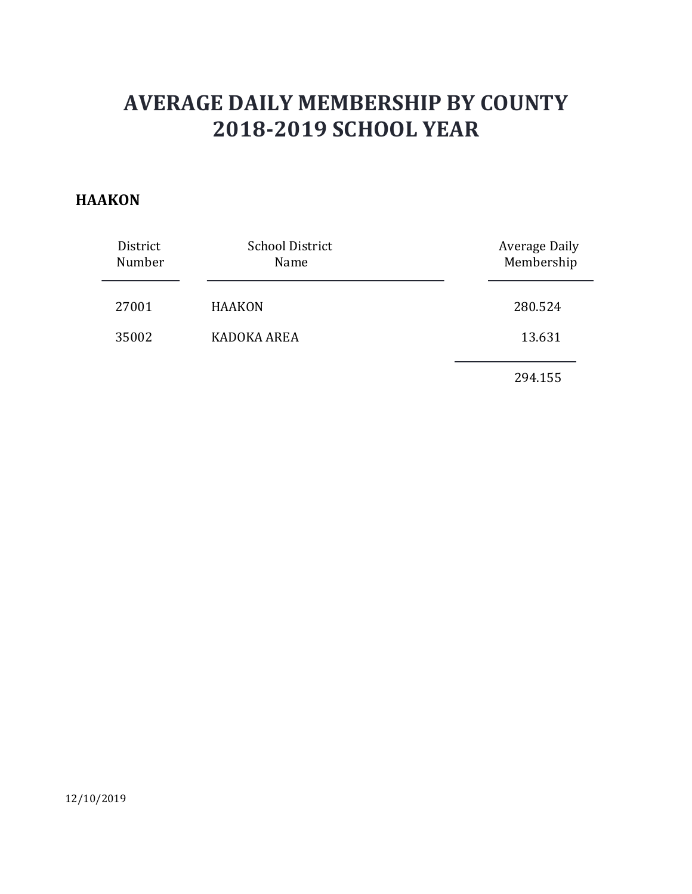#### **HAAKON**

|                    | <b>AVERAGE DAILY MEMBERSHIP BY COUNTY</b><br><b>2018-2019 SCHOOL YEAR</b> |                                    |
|--------------------|---------------------------------------------------------------------------|------------------------------------|
| AKON               |                                                                           |                                    |
| District<br>Number | <b>School District</b><br>Name                                            | <b>Average Daily</b><br>Membership |
| 27001              | <b>HAAKON</b>                                                             | 280.524                            |
| 35002              | KADOKA AREA                                                               | 13.631                             |
|                    |                                                                           | 294.155                            |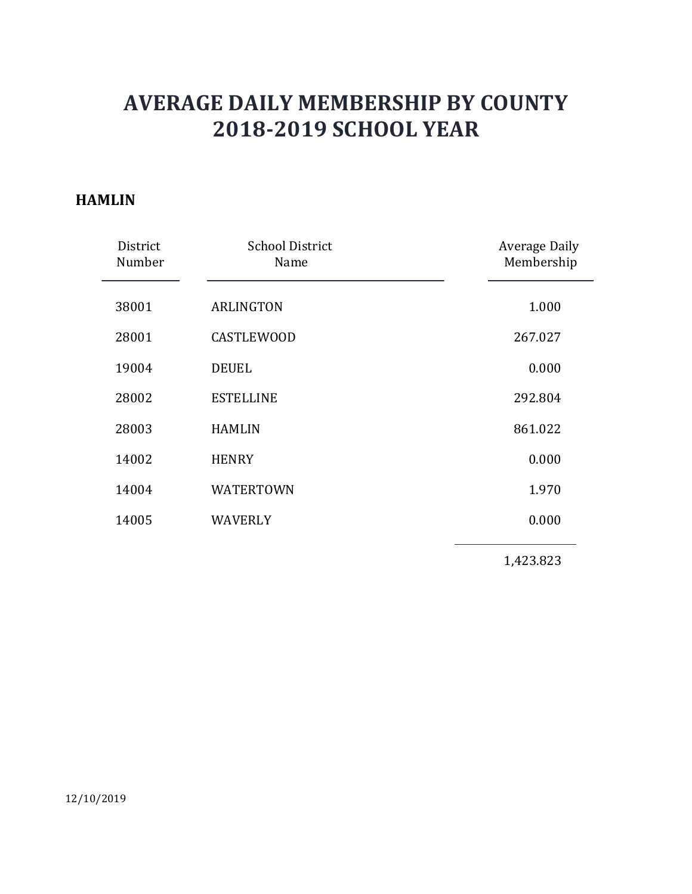#### HAMLIN

| <b>AVERAGE DAILY MEMBERSHIP BY COUNTY</b><br><b>2018-2019 SCHOOL YEAR</b> |                             |
|---------------------------------------------------------------------------|-----------------------------|
|                                                                           |                             |
| <b>School District</b><br>Name                                            | Average Daily<br>Membership |
| <b>ARLINGTON</b>                                                          | 1.000                       |
| <b>CASTLEWOOD</b>                                                         | 267.027                     |
| <b>DEUEL</b>                                                              | 0.000                       |
| <b>ESTELLINE</b>                                                          | 292.804                     |
| <b>HAMLIN</b>                                                             | 861.022                     |
| <b>HENRY</b>                                                              | 0.000                       |
| <b>WATERTOWN</b>                                                          | 1.970                       |
| WAVERLY                                                                   | 0.000                       |
|                                                                           | 1,423.823                   |
|                                                                           |                             |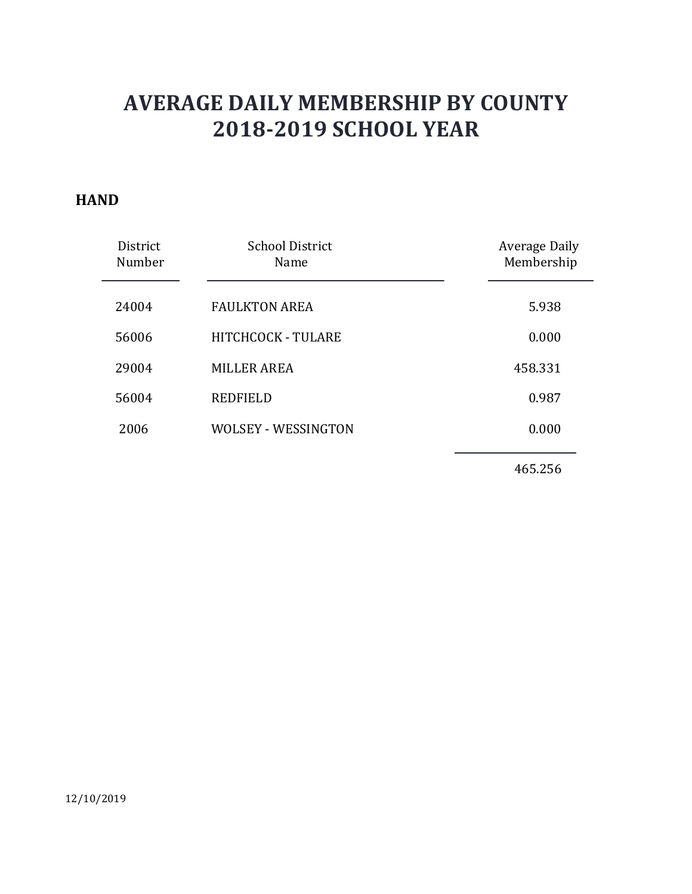#### **HAND**

|                | <b>AVERAGE DAILY MEMBERSHIP BY COUNTY</b><br><b>2018-2019 SCHOOL YEAR</b> |               |
|----------------|---------------------------------------------------------------------------|---------------|
| ١D<br>District | <b>School District</b>                                                    | Average Daily |
| Number         | Name                                                                      | Membership    |
| 24004          | <b>FAULKTON AREA</b>                                                      | 5.938         |
| 56006          | HITCHCOCK - TULARE                                                        | 0.000         |
| 29004          | <b>MILLER AREA</b>                                                        | 458.331       |
| 56004          | <b>REDFIELD</b>                                                           | 0.987         |
| 2006           | <b>WOLSEY - WESSINGTON</b>                                                | 0.000         |
|                |                                                                           | 465.256       |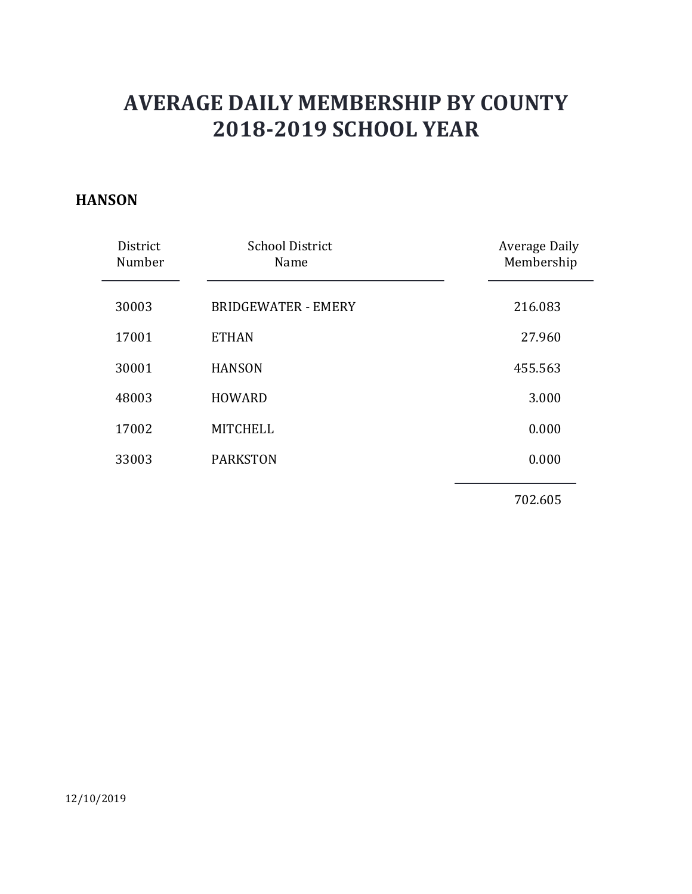#### **HANSON**

|                    | <b>AVERAGE DAILY MEMBERSHIP BY COUNTY</b><br><b>2018-2019 SCHOOL YEAR</b> |                             |
|--------------------|---------------------------------------------------------------------------|-----------------------------|
| <b>VSON</b>        |                                                                           |                             |
| District<br>Number | <b>School District</b><br>Name                                            | Average Daily<br>Membership |
| 30003              | <b>BRIDGEWATER - EMERY</b>                                                | 216.083                     |
| 17001              | <b>ETHAN</b>                                                              | 27.960                      |
| 30001              | <b>HANSON</b>                                                             | 455.563                     |
| 48003              | <b>HOWARD</b>                                                             | 3.000                       |
| 17002              | <b>MITCHELL</b>                                                           | 0.000                       |
| 33003              | <b>PARKSTON</b>                                                           | 0.000                       |
|                    |                                                                           | 702.605                     |
|                    |                                                                           |                             |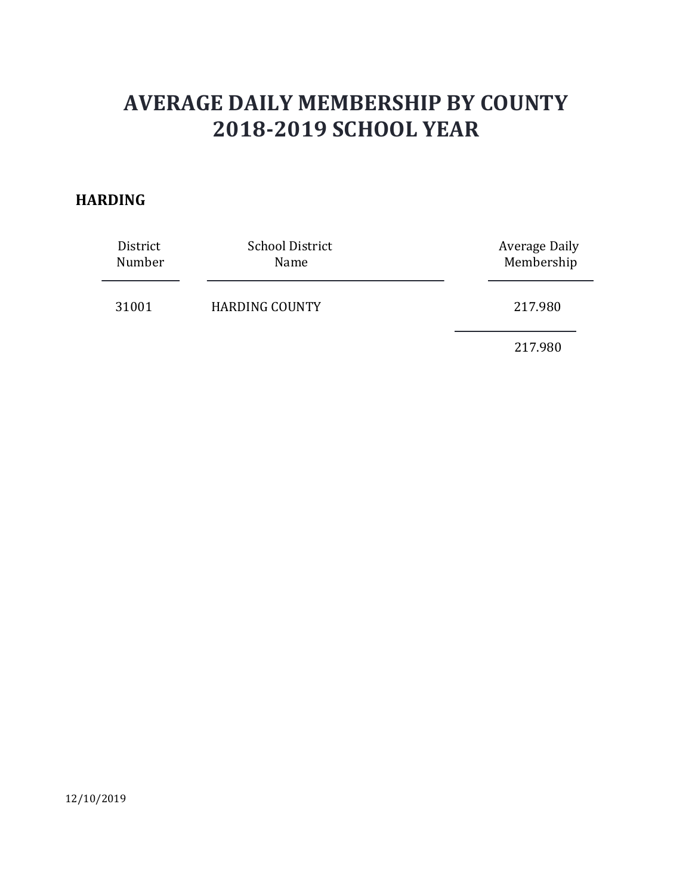#### HARDING

|                  | <b>AVERAGE DAILY MEMBERSHIP BY COUNTY</b><br><b>2018-2019 SCHOOL YEAR</b> |                                  |
|------------------|---------------------------------------------------------------------------|----------------------------------|
| DING<br>District | <b>School District</b>                                                    | <b>Average Daily</b>             |
| Number<br>31001  | Name<br><b>HARDING COUNTY</b>                                             | Membership<br>217.980<br>217.980 |
|                  |                                                                           |                                  |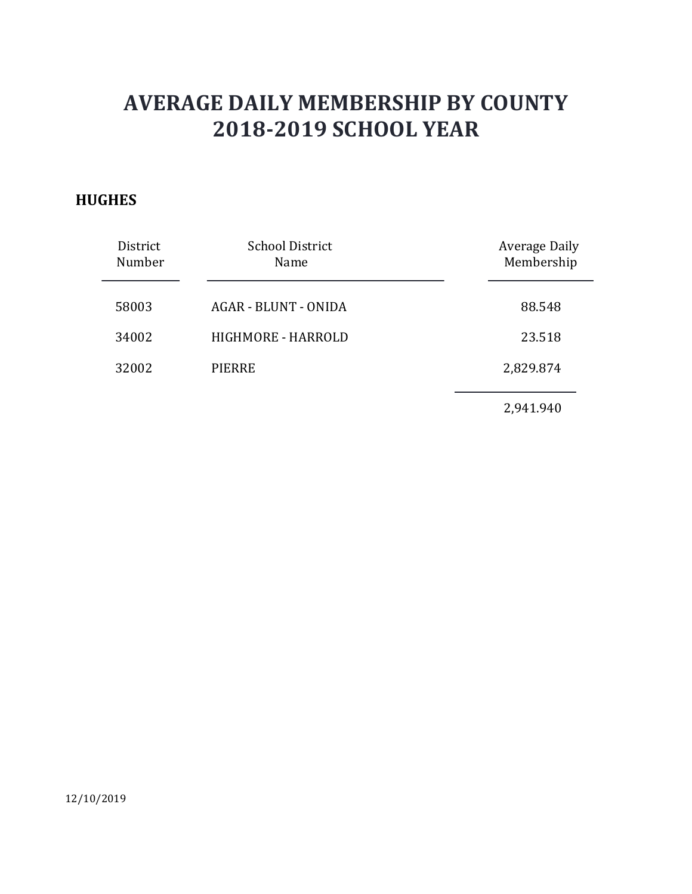### **HUGHES**

| <b>GHES</b>        | <b>AVERAGE DAILY MEMBERSHIP BY COUNTY</b><br><b>2018-2019 SCHOOL YEAR</b> |                             |
|--------------------|---------------------------------------------------------------------------|-----------------------------|
| District<br>Number | <b>School District</b><br>Name                                            | Average Daily<br>Membership |
| 58003              | AGAR - BLUNT - ONIDA                                                      | 88.548                      |
| 34002              | HIGHMORE - HARROLD                                                        | 23.518                      |
| 32002              | <b>PIERRE</b>                                                             | 2,829.874                   |
|                    |                                                                           | 2,941.940                   |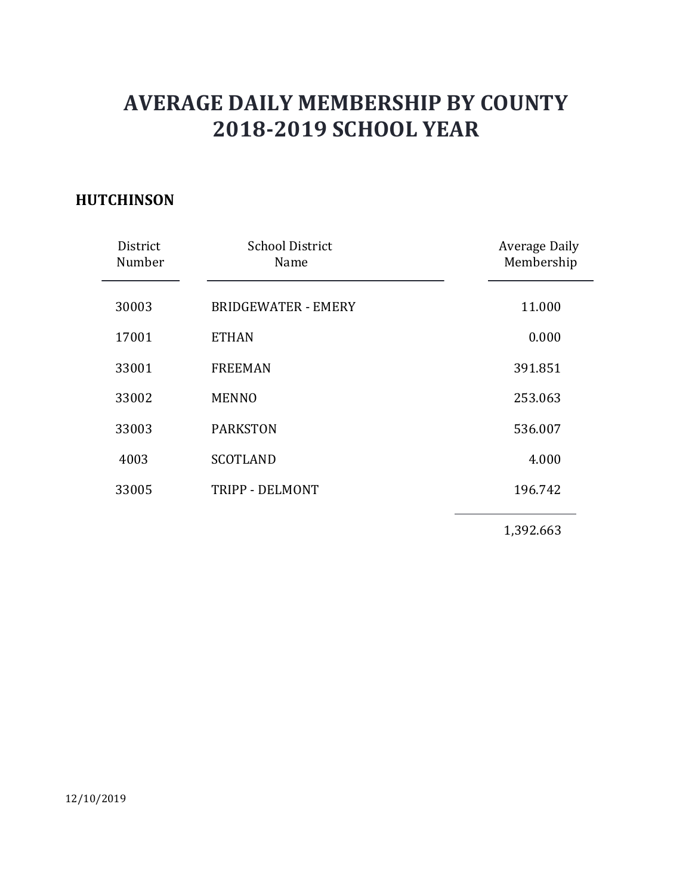### **HUTCHINSON**

|                    | <b>AVERAGE DAILY MEMBERSHIP BY COUNTY</b><br><b>2018-2019 SCHOOL YEAR</b> |                             |
|--------------------|---------------------------------------------------------------------------|-----------------------------|
| <b>TCHINSON</b>    |                                                                           |                             |
| District<br>Number | <b>School District</b><br>Name                                            | Average Daily<br>Membership |
| 30003              | <b>BRIDGEWATER - EMERY</b>                                                | 11.000                      |
| 17001              | <b>ETHAN</b>                                                              | 0.000                       |
| 33001              | <b>FREEMAN</b>                                                            | 391.851                     |
| 33002              | <b>MENNO</b>                                                              | 253.063                     |
| 33003              | <b>PARKSTON</b>                                                           | 536.007                     |
| 4003               | <b>SCOTLAND</b>                                                           | 4.000                       |
| 33005              | TRIPP - DELMONT                                                           | 196.742                     |
|                    |                                                                           | 1,392.663                   |
|                    |                                                                           |                             |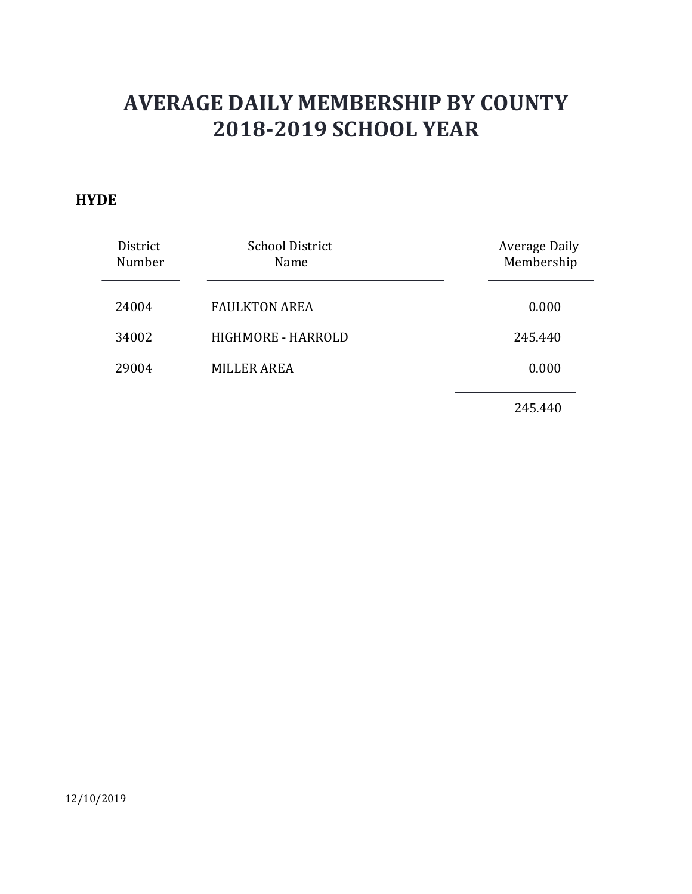### **HYDE**

| )E<br><b>School District</b><br><b>Average Daily</b><br>District<br>Membership<br>Number<br>Name<br>24004<br><b>FAULKTON AREA</b><br>0.000<br>HIGHMORE - HARROLD<br>34002<br>245.440<br><b>MILLER AREA</b><br>29004<br>0.000 |
|------------------------------------------------------------------------------------------------------------------------------------------------------------------------------------------------------------------------------|
|                                                                                                                                                                                                                              |
|                                                                                                                                                                                                                              |
|                                                                                                                                                                                                                              |
|                                                                                                                                                                                                                              |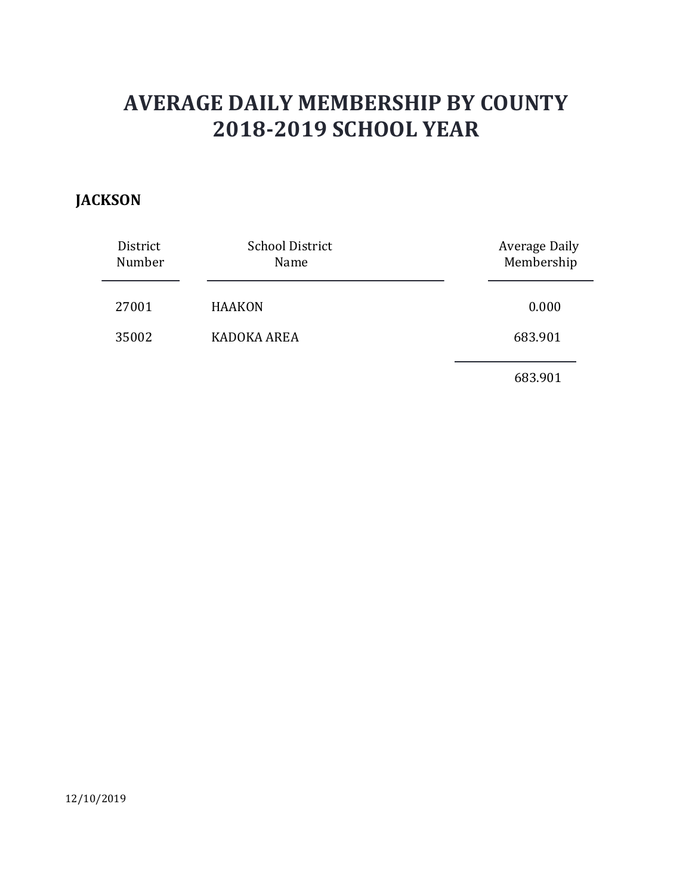### **JACKSON**

|                    | <b>AVERAGE DAILY MEMBERSHIP BY COUNTY</b><br><b>2018-2019 SCHOOL YEAR</b> |                                    |
|--------------------|---------------------------------------------------------------------------|------------------------------------|
| <b>KSON</b>        |                                                                           |                                    |
| District<br>Number | <b>School District</b><br>Name                                            | <b>Average Daily</b><br>Membership |
| 27001              | <b>HAAKON</b>                                                             | 0.000                              |
| 35002              | KADOKA AREA                                                               | 683.901                            |
|                    |                                                                           | 683.901                            |
|                    |                                                                           |                                    |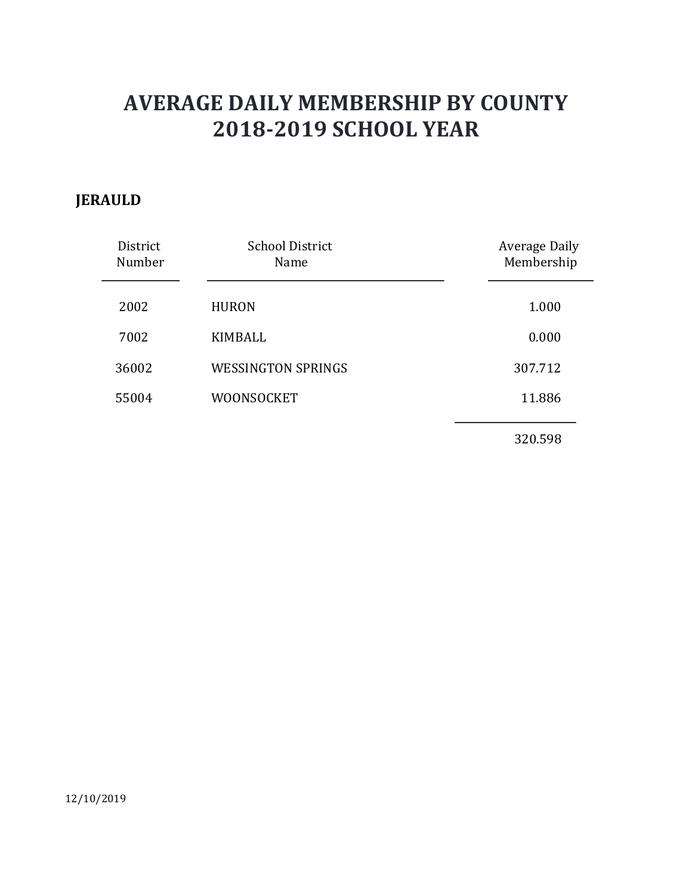## JERAULD

|                    | <b>AVERAGE DAILY MEMBERSHIP BY COUNTY</b><br><b>2018-2019 SCHOOL YEAR</b> |                                    |
|--------------------|---------------------------------------------------------------------------|------------------------------------|
| <b>AULD</b>        |                                                                           |                                    |
| District<br>Number | <b>School District</b><br>Name                                            | <b>Average Daily</b><br>Membership |
| 2002               | <b>HURON</b>                                                              | 1.000                              |
| 7002               | <b>KIMBALL</b>                                                            | 0.000                              |
| 36002              | <b>WESSINGTON SPRINGS</b>                                                 | 307.712                            |
| 55004              | WOONSOCKET                                                                | 11.886                             |
|                    |                                                                           | 320.598                            |
|                    |                                                                           |                                    |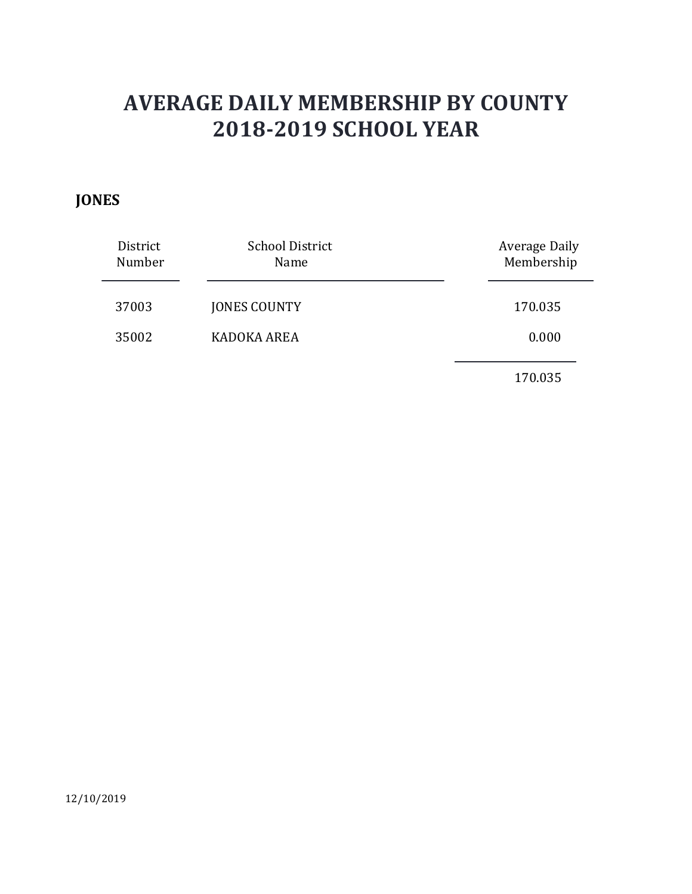## JONES

|                    | <b>AVERAGE DAILY MEMBERSHIP BY COUNTY</b><br><b>2018-2019 SCHOOL YEAR</b> |                                    |
|--------------------|---------------------------------------------------------------------------|------------------------------------|
| <b>IES</b>         |                                                                           |                                    |
| District<br>Number | School District<br>Name                                                   | <b>Average Daily</b><br>Membership |
| 37003              | <b>JONES COUNTY</b>                                                       | 170.035                            |
| 35002              | KADOKA AREA                                                               | 0.000                              |
|                    |                                                                           | 170.035                            |
|                    |                                                                           |                                    |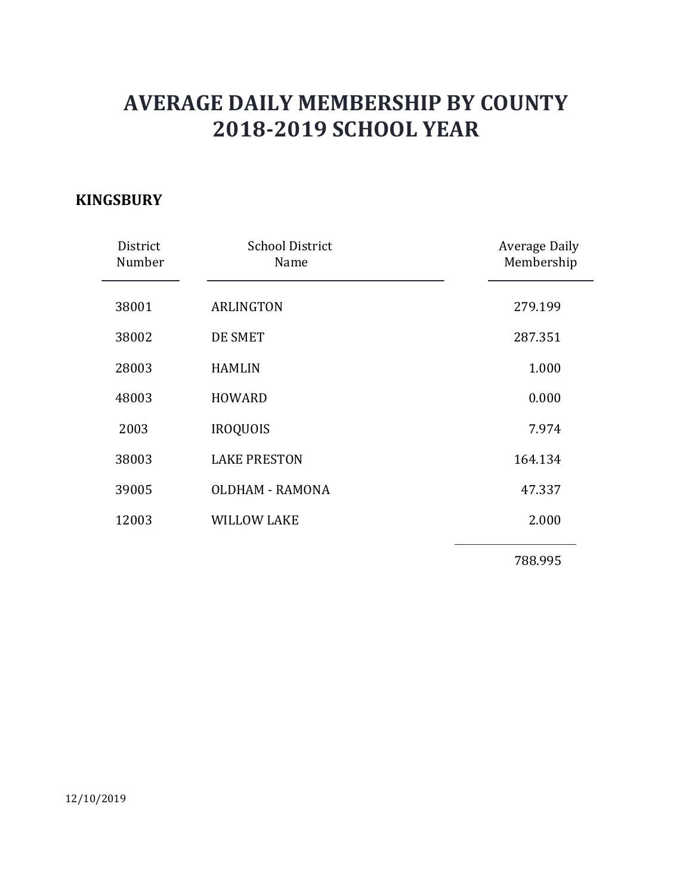### **KINGSBURY**

|                    | <b>AVERAGE DAILY MEMBERSHIP BY COUNTY</b> |                                    |
|--------------------|-------------------------------------------|------------------------------------|
|                    | <b>2018-2019 SCHOOL YEAR</b>              |                                    |
| <b>GSBURY</b>      |                                           |                                    |
| District<br>Number | <b>School District</b><br>Name            | <b>Average Daily</b><br>Membership |
| 38001              | <b>ARLINGTON</b>                          | 279.199                            |
| 38002              | DE SMET                                   | 287.351                            |
| 28003              | <b>HAMLIN</b>                             | 1.000                              |
| 48003              | <b>HOWARD</b>                             | 0.000                              |
| 2003               | <b>IROQUOIS</b>                           | 7.974                              |
| 38003              | <b>LAKE PRESTON</b>                       | 164.134                            |
| 39005              | <b>OLDHAM - RAMONA</b>                    | 47.337                             |
| 12003              | <b>WILLOW LAKE</b>                        | 2.000                              |
|                    |                                           | 788.995                            |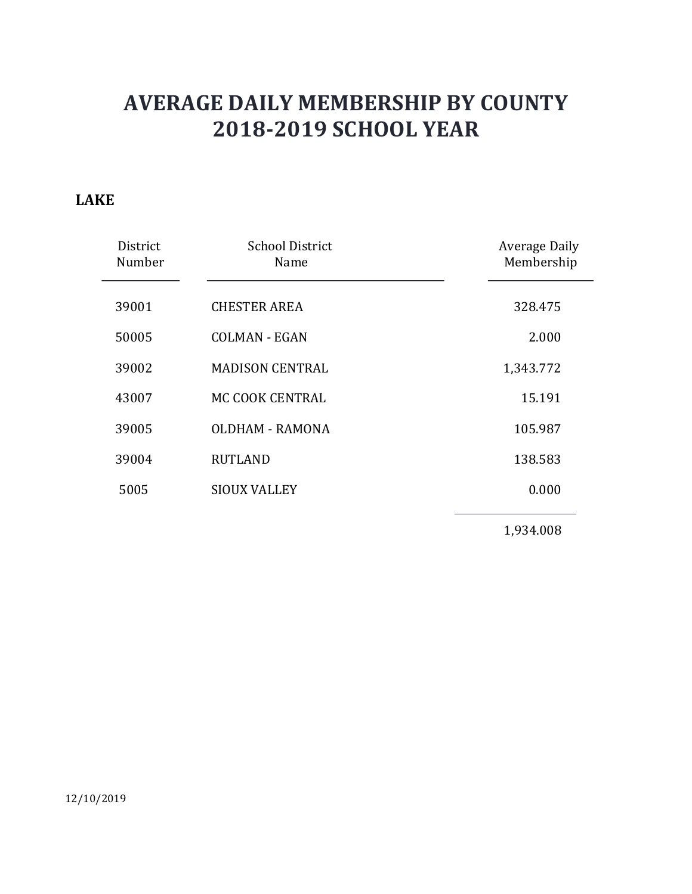### LAKE

|                    | <b>AVERAGE DAILY MEMBERSHIP BY COUNTY</b><br><b>2018-2019 SCHOOL YEAR</b> |                             |
|--------------------|---------------------------------------------------------------------------|-----------------------------|
| <b>KE</b>          |                                                                           |                             |
| District<br>Number | <b>School District</b><br>Name                                            | Average Daily<br>Membership |
| 39001              | <b>CHESTER AREA</b>                                                       | 328.475                     |
| 50005              | <b>COLMAN - EGAN</b>                                                      | 2.000                       |
| 39002              | <b>MADISON CENTRAL</b>                                                    | 1,343.772                   |
| 43007              | MC COOK CENTRAL                                                           | 15.191                      |
| 39005              | <b>OLDHAM - RAMONA</b>                                                    | 105.987                     |
| 39004              | <b>RUTLAND</b>                                                            | 138.583                     |
| 5005               | <b>SIOUX VALLEY</b>                                                       | 0.000                       |
|                    |                                                                           | 1,934.008                   |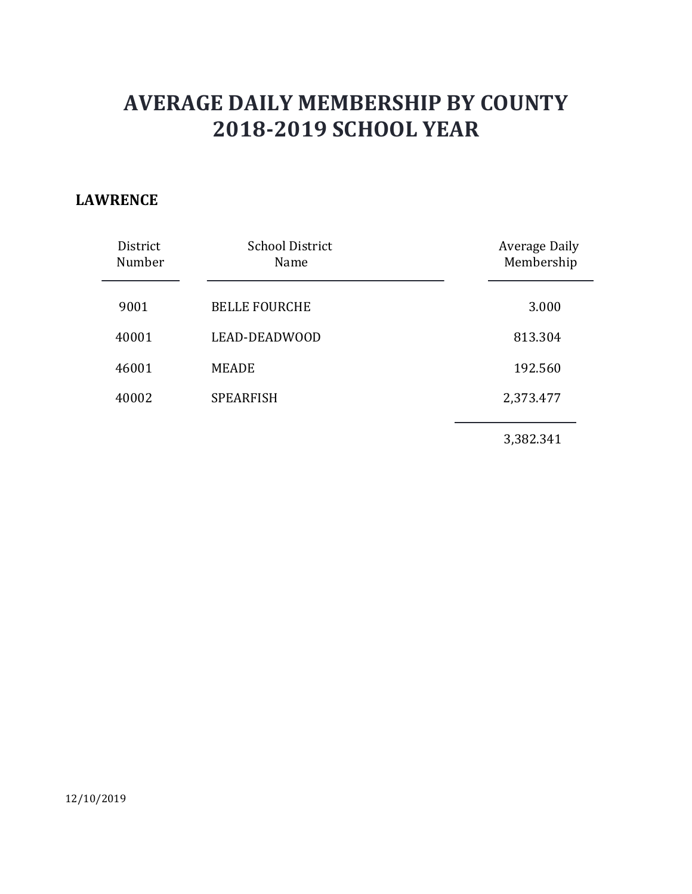### LAWRENCE

|                    | <b>AVERAGE DAILY MEMBERSHIP BY COUNTY</b><br><b>2018-2019 SCHOOL YEAR</b> |                                    |
|--------------------|---------------------------------------------------------------------------|------------------------------------|
| <b>VRENCE</b>      |                                                                           |                                    |
| District<br>Number | <b>School District</b><br>Name                                            | <b>Average Daily</b><br>Membership |
| 9001               | <b>BELLE FOURCHE</b>                                                      | 3.000                              |
| 40001              | LEAD-DEADWOOD                                                             | 813.304                            |
| 46001              | <b>MEADE</b>                                                              | 192.560                            |
| 40002              | <b>SPEARFISH</b>                                                          | 2,373.477                          |
|                    |                                                                           |                                    |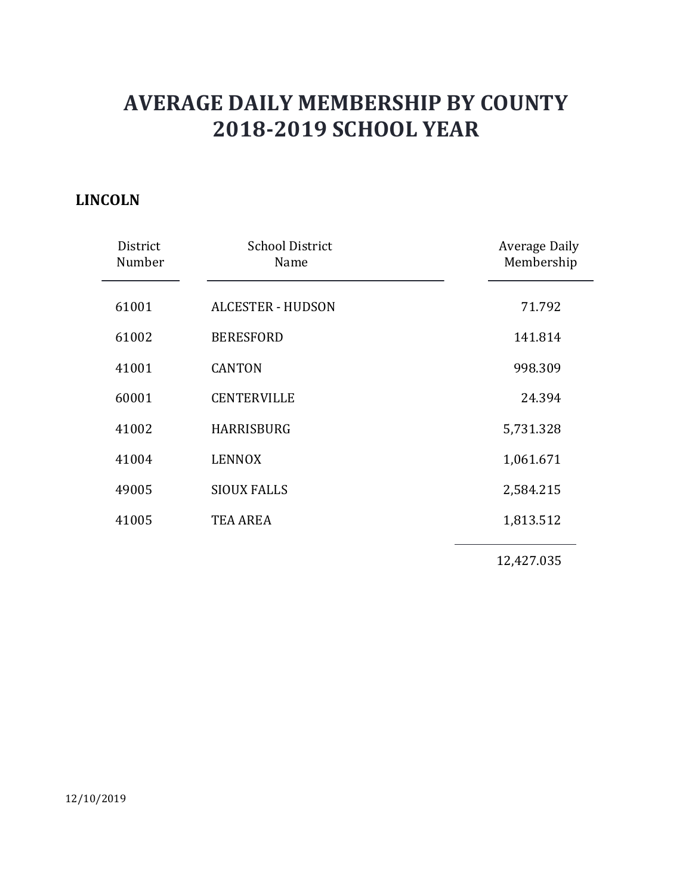### LINCOLN

|                    | <b>AVERAGE DAILY MEMBERSHIP BY COUNTY</b> |                                    |
|--------------------|-------------------------------------------|------------------------------------|
|                    | <b>2018-2019 SCHOOL YEAR</b>              |                                    |
| <b>COLN</b>        |                                           |                                    |
| District<br>Number | <b>School District</b><br>Name            | <b>Average Daily</b><br>Membership |
| 61001              | <b>ALCESTER - HUDSON</b>                  | 71.792                             |
| 61002              | <b>BERESFORD</b>                          | 141.814                            |
| 41001              | <b>CANTON</b>                             | 998.309                            |
| 60001              | <b>CENTERVILLE</b>                        | 24.394                             |
| 41002              | <b>HARRISBURG</b>                         | 5,731.328                          |
| 41004              | <b>LENNOX</b>                             | 1,061.671                          |
| 49005              | <b>SIOUX FALLS</b>                        | 2,584.215                          |
| 41005              | <b>TEA AREA</b>                           | 1,813.512                          |
|                    |                                           | 12,427.035                         |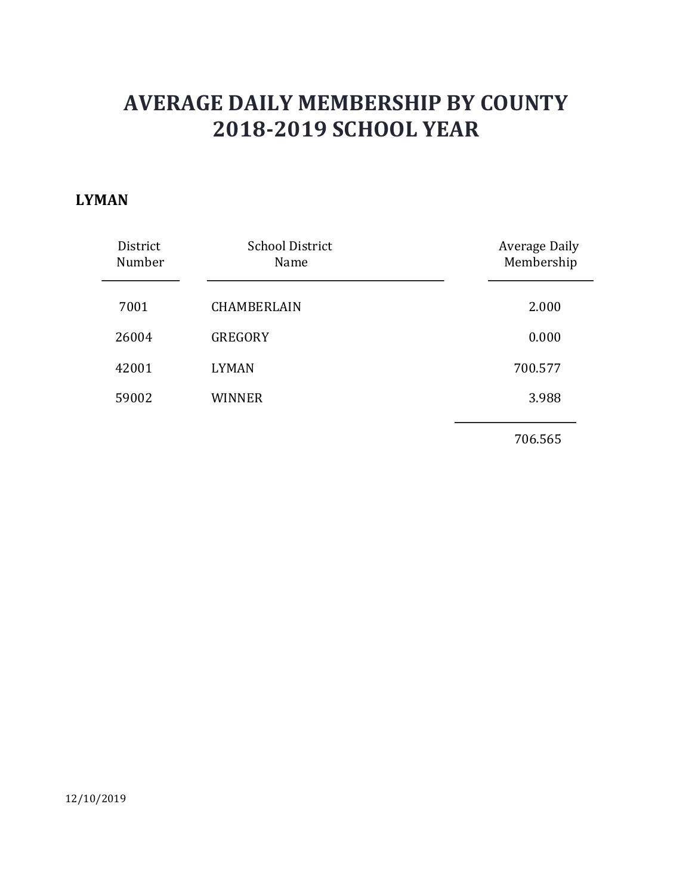#### LYMAN

|                    |                                | <b>AVERAGE DAILY MEMBERSHIP BY COUNTY</b> |
|--------------------|--------------------------------|-------------------------------------------|
|                    | <b>2018-2019 SCHOOL YEAR</b>   |                                           |
| <b>IAN</b>         |                                |                                           |
| District<br>Number | <b>School District</b><br>Name | <b>Average Daily</b><br>Membership        |
| 7001               | CHAMBERLAIN                    | 2.000                                     |
| 26004              | GREGORY                        | 0.000                                     |
| 42001              | <b>LYMAN</b>                   | 700.577                                   |
| 59002              | <b>WINNER</b>                  | 3.988                                     |
|                    |                                |                                           |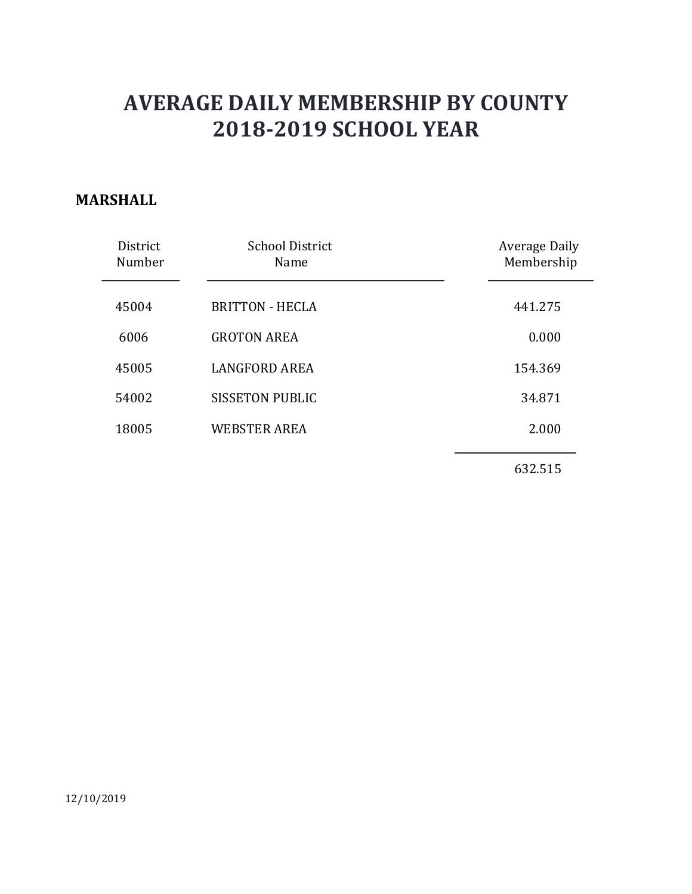### MARSHALL

|                    | <b>AVERAGE DAILY MEMBERSHIP BY COUNTY</b><br><b>2018-2019 SCHOOL YEAR</b> |                             |
|--------------------|---------------------------------------------------------------------------|-----------------------------|
| RSHALL             |                                                                           |                             |
| District<br>Number | <b>School District</b><br>Name                                            | Average Daily<br>Membership |
| 45004              | <b>BRITTON - HECLA</b>                                                    | 441.275                     |
| 6006               | <b>GROTON AREA</b>                                                        | 0.000                       |
| 45005              | <b>LANGFORD AREA</b>                                                      | 154.369                     |
| 54002              | <b>SISSETON PUBLIC</b>                                                    | 34.871                      |
| 18005              | <b>WEBSTER AREA</b>                                                       | 2.000                       |
|                    |                                                                           | 632.515                     |
|                    |                                                                           |                             |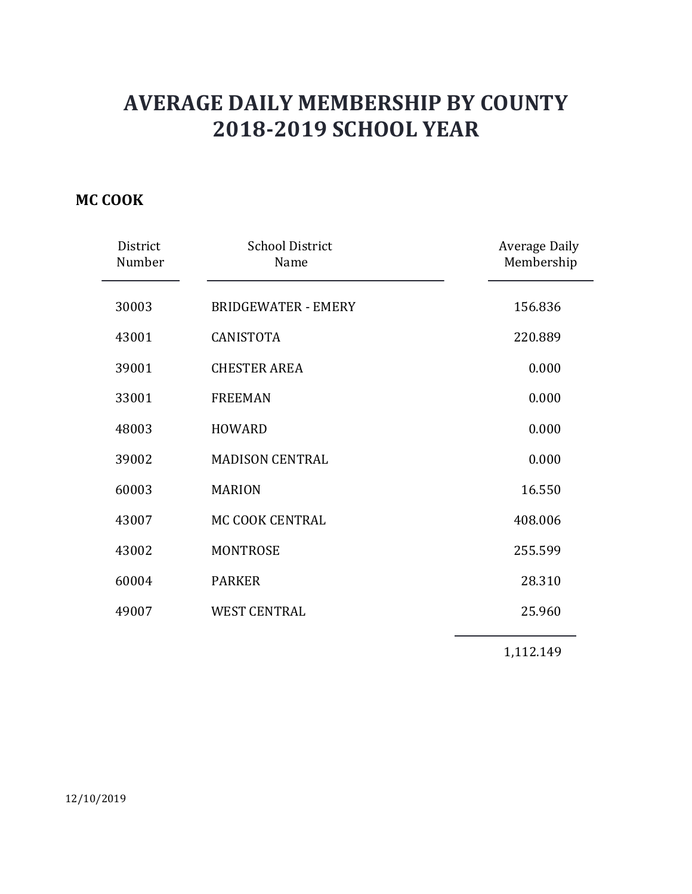## MC COOK

|                    | <b>AVERAGE DAILY MEMBERSHIP BY COUNTY</b><br><b>2018-2019 SCHOOL YEAR</b> |                             |
|--------------------|---------------------------------------------------------------------------|-----------------------------|
| <b>COOK</b>        |                                                                           |                             |
| District<br>Number | <b>School District</b><br>Name                                            | Average Daily<br>Membership |
| 30003              | <b>BRIDGEWATER - EMERY</b>                                                | 156.836                     |
| 43001              | CANISTOTA                                                                 | 220.889                     |
| 39001              | <b>CHESTER AREA</b>                                                       | 0.000                       |
| 33001              | <b>FREEMAN</b>                                                            | 0.000                       |
| 48003              | <b>HOWARD</b>                                                             | 0.000                       |
| 39002              | <b>MADISON CENTRAL</b>                                                    | 0.000                       |
| 60003              | <b>MARION</b>                                                             | 16.550                      |
| 43007              | MC COOK CENTRAL                                                           | 408.006                     |
| 43002              | <b>MONTROSE</b>                                                           | 255.599                     |
| 60004              | PARKER                                                                    | 28.310                      |
| 49007              | <b>WEST CENTRAL</b>                                                       | 25.960                      |
|                    |                                                                           | 1,112.149                   |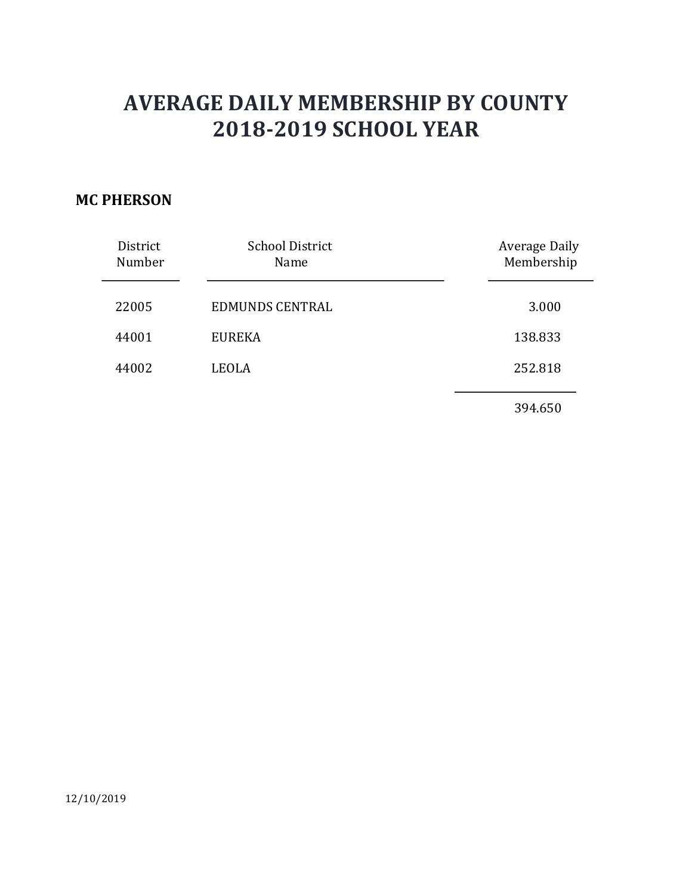### MC PHERSON

|                                      | <b>AVERAGE DAILY MEMBERSHIP BY COUNTY</b><br><b>2018-2019 SCHOOL YEAR</b> |                             |
|--------------------------------------|---------------------------------------------------------------------------|-----------------------------|
| <b>PHERSON</b><br>District<br>Number | <b>School District</b><br>Name                                            | Average Daily<br>Membership |
| 22005                                | <b>EDMUNDS CENTRAL</b>                                                    | 3.000                       |
| 44001                                | <b>EUREKA</b>                                                             | 138.833                     |
| 44002                                | <b>LEOLA</b>                                                              | 252.818                     |
|                                      |                                                                           | 394.650                     |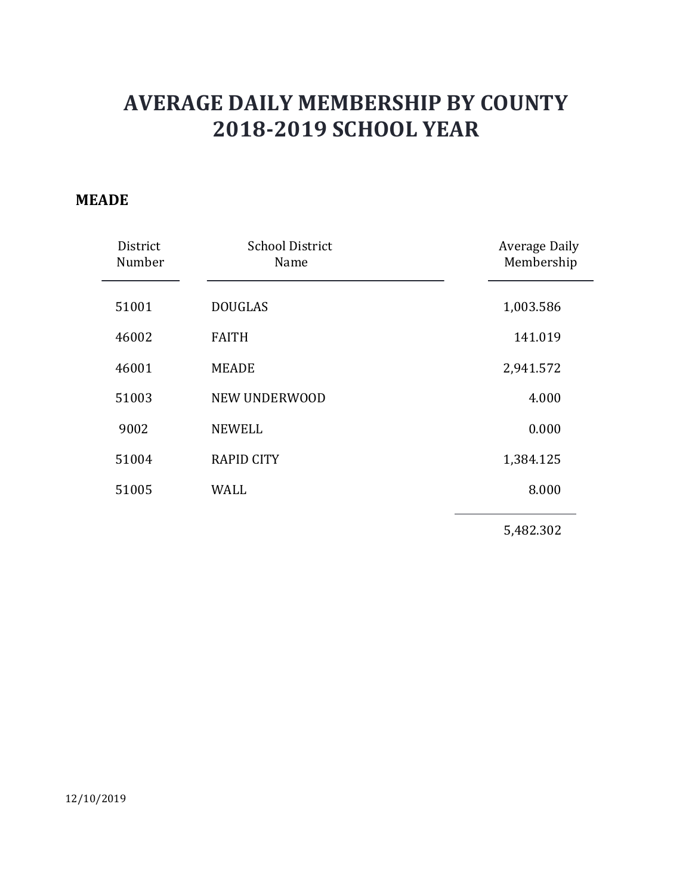#### MEADE

|                    | <b>AVERAGE DAILY MEMBERSHIP BY COUNTY</b><br><b>2018-2019 SCHOOL YEAR</b> |                             |
|--------------------|---------------------------------------------------------------------------|-----------------------------|
| <b>NDE</b>         |                                                                           |                             |
| District<br>Number | <b>School District</b><br>Name                                            | Average Daily<br>Membership |
| 51001              | <b>DOUGLAS</b>                                                            | 1,003.586                   |
| 46002              | <b>FAITH</b>                                                              | 141.019                     |
| 46001              | <b>MEADE</b>                                                              | 2,941.572                   |
| 51003              | NEW UNDERWOOD                                                             | 4.000                       |
| 9002               | <b>NEWELL</b>                                                             | 0.000                       |
| 51004              | <b>RAPID CITY</b>                                                         | 1,384.125                   |
| 51005              | <b>WALL</b>                                                               | 8.000                       |
|                    |                                                                           | 5,482.302                   |
|                    |                                                                           |                             |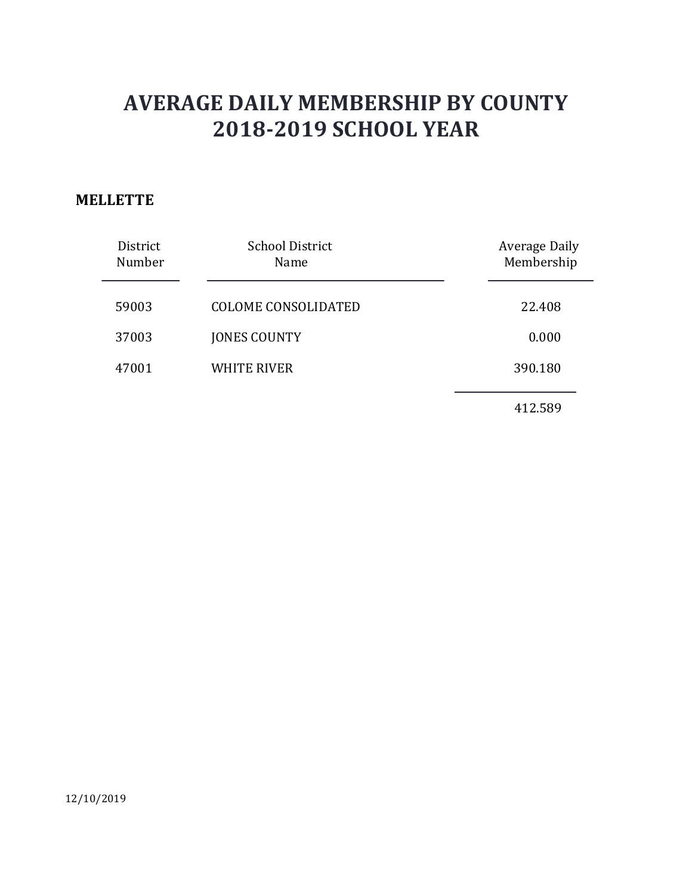### **MELLETTE**

| <b>LETTE</b>       | <b>AVERAGE DAILY MEMBERSHIP BY COUNTY</b><br><b>2018-2019 SCHOOL YEAR</b> |                             |
|--------------------|---------------------------------------------------------------------------|-----------------------------|
| District<br>Number | <b>School District</b><br>Name                                            | Average Daily<br>Membership |
| 59003              | <b>COLOME CONSOLIDATED</b>                                                | 22.408                      |
| 37003              | <b>JONES COUNTY</b>                                                       | 0.000                       |
| 47001              | <b>WHITE RIVER</b>                                                        | 390.180                     |
|                    |                                                                           | 412.589                     |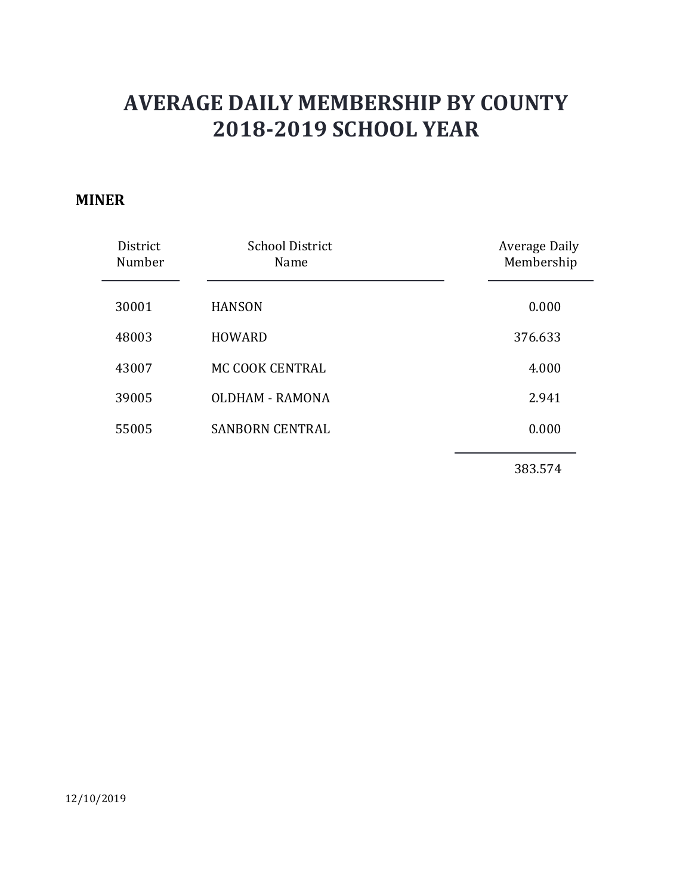#### MINER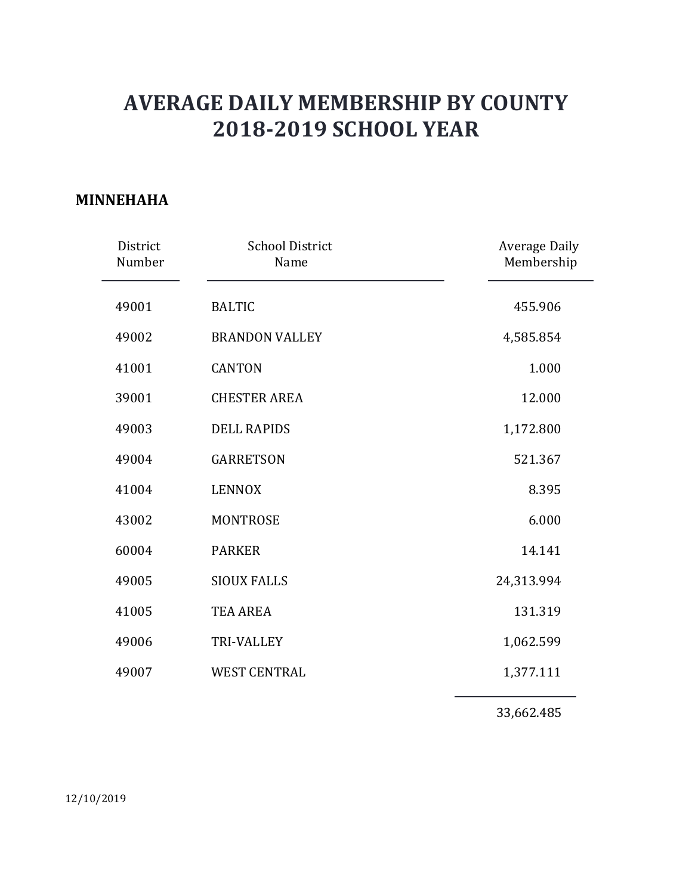### MINNEHAHA

|                    | <b>AVERAGE DAILY MEMBERSHIP BY COUNTY</b><br><b>2018-2019 SCHOOL YEAR</b> |                             |
|--------------------|---------------------------------------------------------------------------|-----------------------------|
| <b>NEHAHA</b>      |                                                                           |                             |
| District<br>Number | <b>School District</b><br>Name                                            | Average Daily<br>Membership |
| 49001              | <b>BALTIC</b>                                                             | 455.906                     |
| 49002              | <b>BRANDON VALLEY</b>                                                     | 4,585.854                   |
| 41001              | <b>CANTON</b>                                                             | 1.000                       |
| 39001              | <b>CHESTER AREA</b>                                                       | 12.000                      |
| 49003              | <b>DELL RAPIDS</b>                                                        | 1,172.800                   |
| 49004              | <b>GARRETSON</b>                                                          | 521.367                     |
| 41004              | <b>LENNOX</b>                                                             | 8.395                       |
| 43002              | MONTROSE                                                                  | 6.000                       |
| 60004              | PARKER                                                                    | 14.141                      |
| 49005              | <b>SIOUX FALLS</b>                                                        | 24,313.994                  |
| 41005              | TEA AREA                                                                  | 131.319                     |
| 49006              | TRI-VALLEY                                                                | 1,062.599                   |
| 49007              | WEST CENTRAL                                                              | 1,377.111                   |
|                    |                                                                           | 33,662.485                  |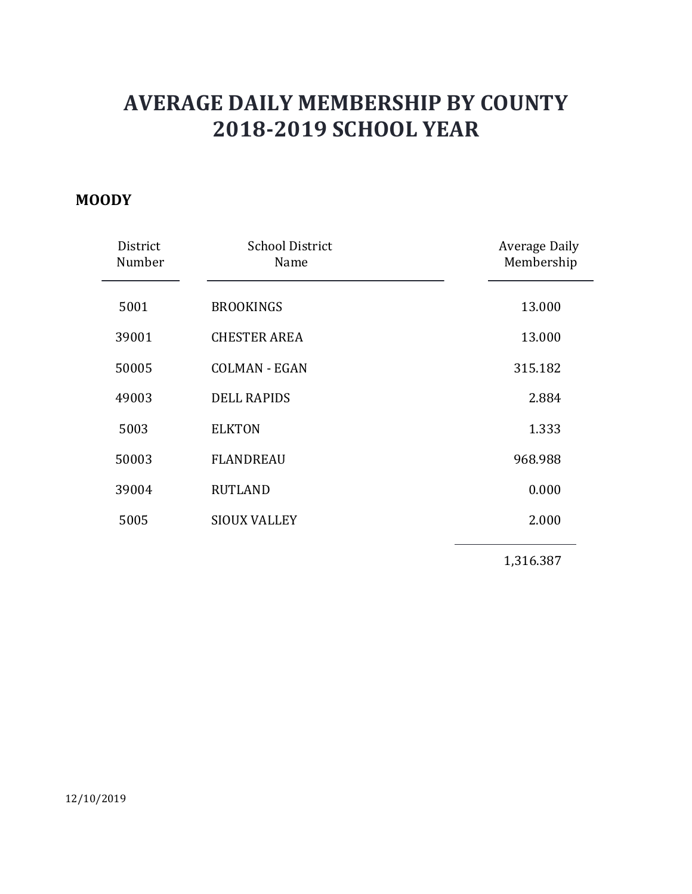#### **MOODY**

|                              | <b>AVERAGE DAILY MEMBERSHIP BY COUNTY</b> |                                    |
|------------------------------|-------------------------------------------|------------------------------------|
| <b>2018-2019 SCHOOL YEAR</b> |                                           |                                    |
| 0 <sub>DY</sub>              |                                           |                                    |
| District<br>Number           | <b>School District</b><br>Name            | <b>Average Daily</b><br>Membership |
| 5001                         | <b>BROOKINGS</b>                          | 13.000                             |
| 39001                        | <b>CHESTER AREA</b>                       | 13.000                             |
| 50005                        | <b>COLMAN - EGAN</b>                      | 315.182                            |
| 49003                        | <b>DELL RAPIDS</b>                        | 2.884                              |
| 5003                         | <b>ELKTON</b>                             | 1.333                              |
| 50003                        | <b>FLANDREAU</b>                          | 968.988                            |
| 39004                        | <b>RUTLAND</b>                            | 0.000                              |
| 5005                         | <b>SIOUX VALLEY</b>                       | 2.000                              |
|                              |                                           | 1,316.387                          |
|                              |                                           |                                    |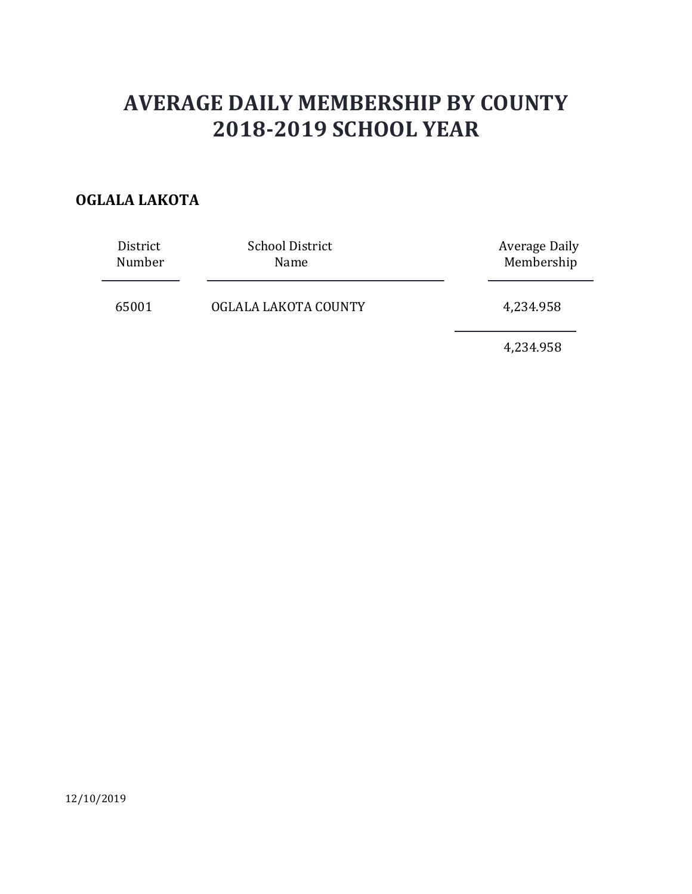## OGLALA LAKOTA

|                    | <b>AVERAGE DAILY MEMBERSHIP BY COUNTY</b> |                                    |
|--------------------|-------------------------------------------|------------------------------------|
|                    | <b>2018-2019 SCHOOL YEAR</b>              |                                    |
| <b>LALA LAKOTA</b> |                                           |                                    |
| District<br>Number | <b>School District</b><br>Name            | <b>Average Daily</b><br>Membership |
| 65001              | OGLALA LAKOTA COUNTY                      | 4,234.958                          |
|                    |                                           | 4,234.958                          |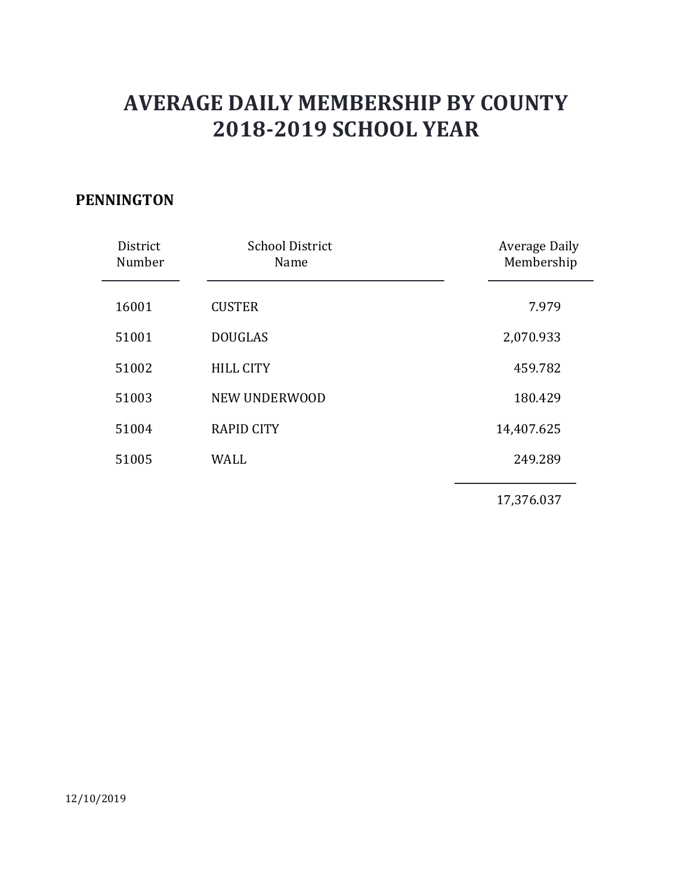### PENNINGTON

|                    | <b>AVERAGE DAILY MEMBERSHIP BY COUNTY</b><br><b>2018-2019 SCHOOL YEAR</b> |                             |
|--------------------|---------------------------------------------------------------------------|-----------------------------|
| <b>ININGTON</b>    |                                                                           |                             |
| District<br>Number | <b>School District</b><br>Name                                            | Average Daily<br>Membership |
| 16001              | <b>CUSTER</b>                                                             | 7.979                       |
| 51001              | <b>DOUGLAS</b>                                                            | 2,070.933                   |
| 51002              | <b>HILL CITY</b>                                                          | 459.782                     |
| 51003              | NEW UNDERWOOD                                                             | 180.429                     |
| 51004              | <b>RAPID CITY</b>                                                         | 14,407.625                  |
| 51005              | <b>WALL</b>                                                               | 249.289                     |
|                    |                                                                           | 17,376.037                  |
|                    |                                                                           |                             |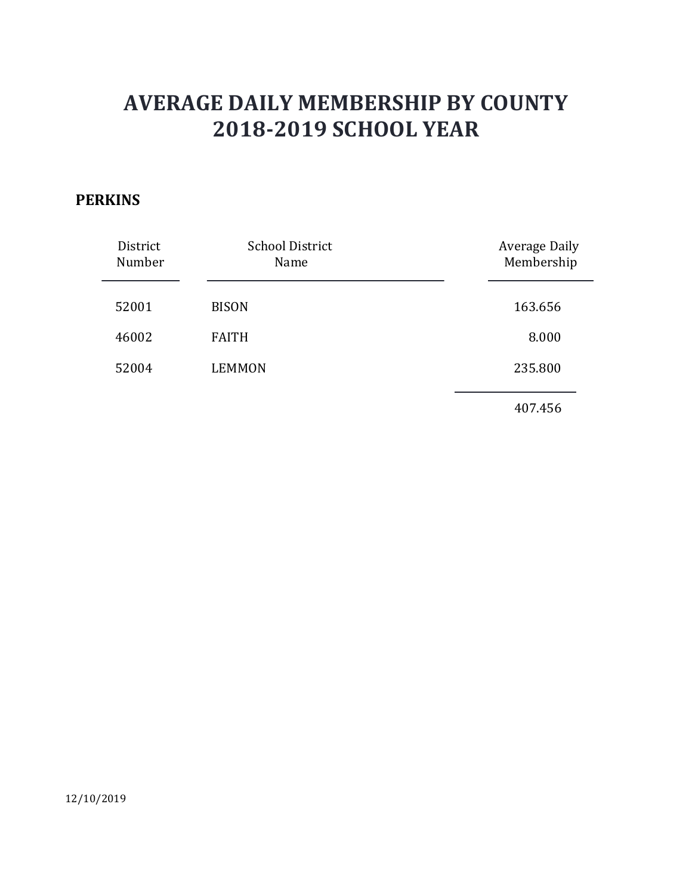### **PERKINS**

|                                    | <b>AVERAGE DAILY MEMBERSHIP BY COUNTY</b><br><b>2018-2019 SCHOOL YEAR</b> |                                    |
|------------------------------------|---------------------------------------------------------------------------|------------------------------------|
| <b>RKINS</b><br>District<br>Number | <b>School District</b><br>Name                                            | <b>Average Daily</b><br>Membership |
| 52001                              | <b>BISON</b>                                                              | 163.656                            |
| 46002                              | <b>FAITH</b>                                                              | 8.000                              |
| 52004                              | <b>LEMMON</b>                                                             | 235.800                            |
|                                    |                                                                           | 407.456                            |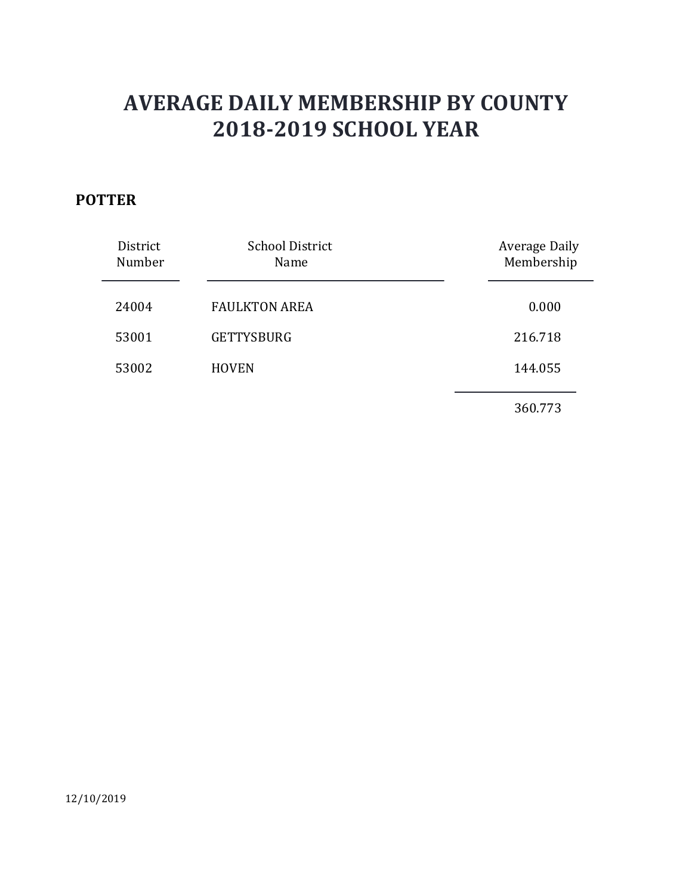## POTTER

| <b>TER</b>         | <b>AVERAGE DAILY MEMBERSHIP BY COUNTY</b><br><b>2018-2019 SCHOOL YEAR</b> |                             |
|--------------------|---------------------------------------------------------------------------|-----------------------------|
| District<br>Number | <b>School District</b><br>Name                                            | Average Daily<br>Membership |
| 24004              | <b>FAULKTON AREA</b>                                                      | 0.000                       |
| 53001              | <b>GETTYSBURG</b>                                                         | 216.718                     |
| 53002              | <b>HOVEN</b>                                                              | 144.055                     |
|                    |                                                                           |                             |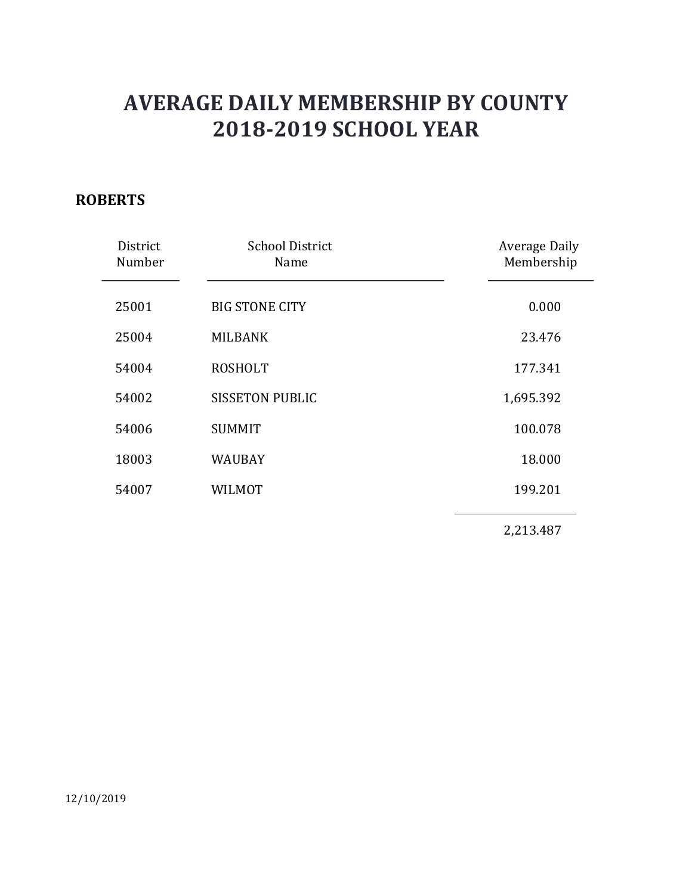### ROBERTS

|                    | <b>AVERAGE DAILY MEMBERSHIP BY COUNTY</b><br><b>2018-2019 SCHOOL YEAR</b> |                             |
|--------------------|---------------------------------------------------------------------------|-----------------------------|
| <b>BERTS</b>       |                                                                           |                             |
| District<br>Number | <b>School District</b><br>Name                                            | Average Daily<br>Membership |
| 25001              | <b>BIG STONE CITY</b>                                                     | 0.000                       |
| 25004              | <b>MILBANK</b>                                                            | 23.476                      |
| 54004              | <b>ROSHOLT</b>                                                            | 177.341                     |
| 54002              | <b>SISSETON PUBLIC</b>                                                    | 1,695.392                   |
| 54006              | <b>SUMMIT</b>                                                             | 100.078                     |
| 18003              | <b>WAUBAY</b>                                                             | 18.000                      |
| 54007              | <b>WILMOT</b>                                                             | 199.201                     |
|                    |                                                                           | 2,213.487                   |
|                    |                                                                           |                             |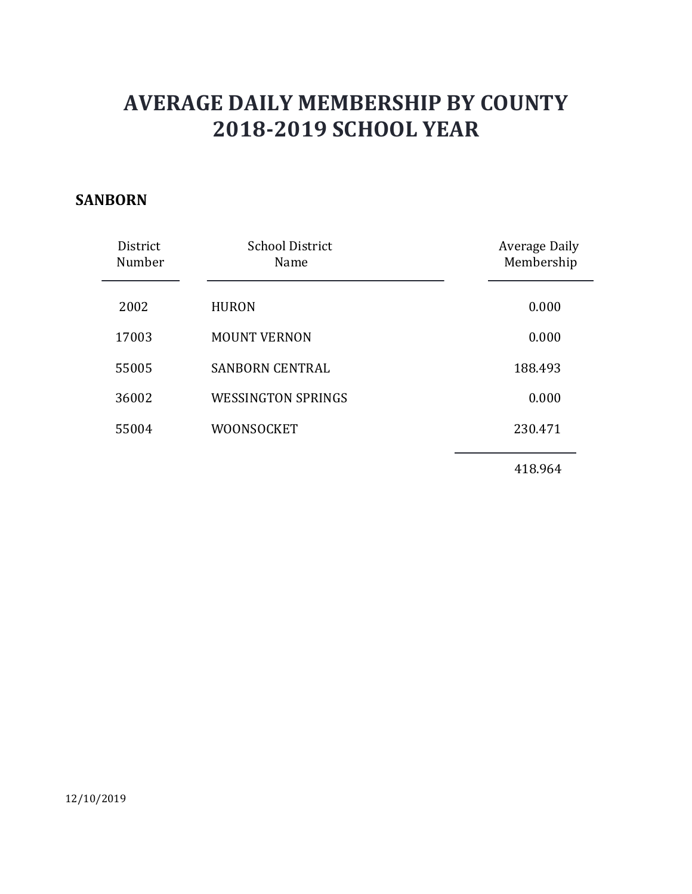#### SANBORN

| <b>AVERAGE DAILY MEMBERSHIP BY COUNTY</b><br><b>2018-2019 SCHOOL YEAR</b> |                                |                             |
|---------------------------------------------------------------------------|--------------------------------|-----------------------------|
| <b>BORN</b>                                                               |                                |                             |
| District<br>Number                                                        | <b>School District</b><br>Name | Average Daily<br>Membership |
| 2002                                                                      | <b>HURON</b>                   | 0.000                       |
| 17003                                                                     | <b>MOUNT VERNON</b>            | 0.000                       |
| 55005                                                                     | <b>SANBORN CENTRAL</b>         | 188.493                     |
| 36002                                                                     | <b>WESSINGTON SPRINGS</b>      | 0.000                       |
| 55004                                                                     | WOONSOCKET                     | 230.471                     |
|                                                                           |                                | 418.964                     |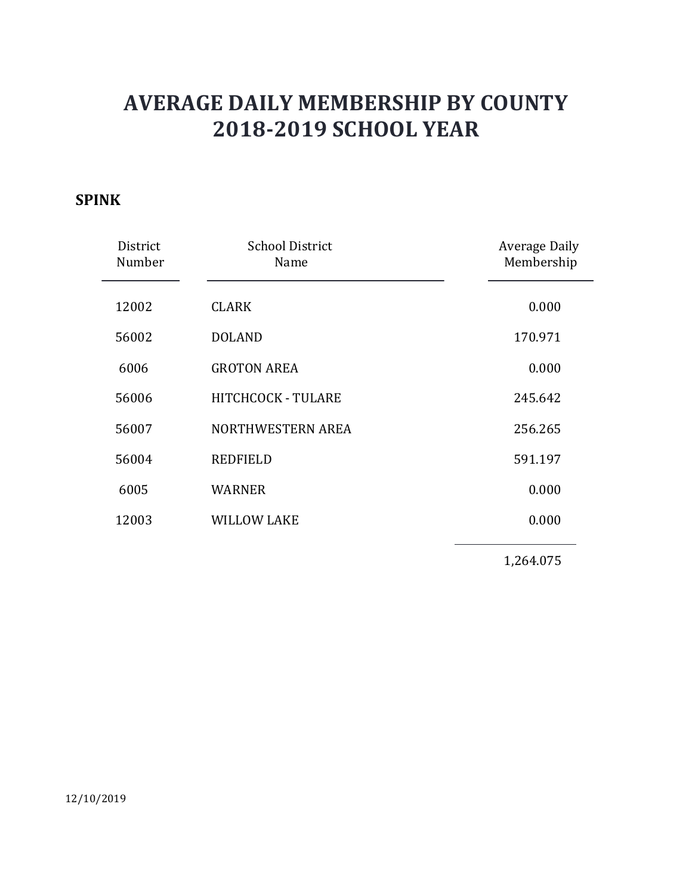## SPINK

| <b>2018-2019 SCHOOL YEAR</b><br><b>School District</b><br><b>Average Daily</b><br>District<br>Membership<br>Number<br>Name<br><b>CLARK</b><br>0.000<br>12002<br>56002<br><b>DOLAND</b><br>170.971<br>6006<br><b>GROTON AREA</b><br>0.000<br>56006<br>HITCHCOCK - TULARE<br>245.642<br>NORTHWESTERN AREA<br>56007<br>256.265<br>56004<br><b>REDFIELD</b><br>591.197<br>6005<br>0.000<br><b>WARNER</b><br><b>WILLOW LAKE</b><br>0.000<br>12003 |    | <b>AVERAGE DAILY MEMBERSHIP BY COUNTY</b> |           |
|----------------------------------------------------------------------------------------------------------------------------------------------------------------------------------------------------------------------------------------------------------------------------------------------------------------------------------------------------------------------------------------------------------------------------------------------|----|-------------------------------------------|-----------|
|                                                                                                                                                                                                                                                                                                                                                                                                                                              |    |                                           |           |
|                                                                                                                                                                                                                                                                                                                                                                                                                                              | VК |                                           |           |
|                                                                                                                                                                                                                                                                                                                                                                                                                                              |    |                                           |           |
|                                                                                                                                                                                                                                                                                                                                                                                                                                              |    |                                           |           |
|                                                                                                                                                                                                                                                                                                                                                                                                                                              |    |                                           |           |
|                                                                                                                                                                                                                                                                                                                                                                                                                                              |    |                                           |           |
|                                                                                                                                                                                                                                                                                                                                                                                                                                              |    |                                           |           |
|                                                                                                                                                                                                                                                                                                                                                                                                                                              |    |                                           |           |
|                                                                                                                                                                                                                                                                                                                                                                                                                                              |    |                                           |           |
|                                                                                                                                                                                                                                                                                                                                                                                                                                              |    |                                           |           |
|                                                                                                                                                                                                                                                                                                                                                                                                                                              |    |                                           |           |
|                                                                                                                                                                                                                                                                                                                                                                                                                                              |    |                                           | 1,264.075 |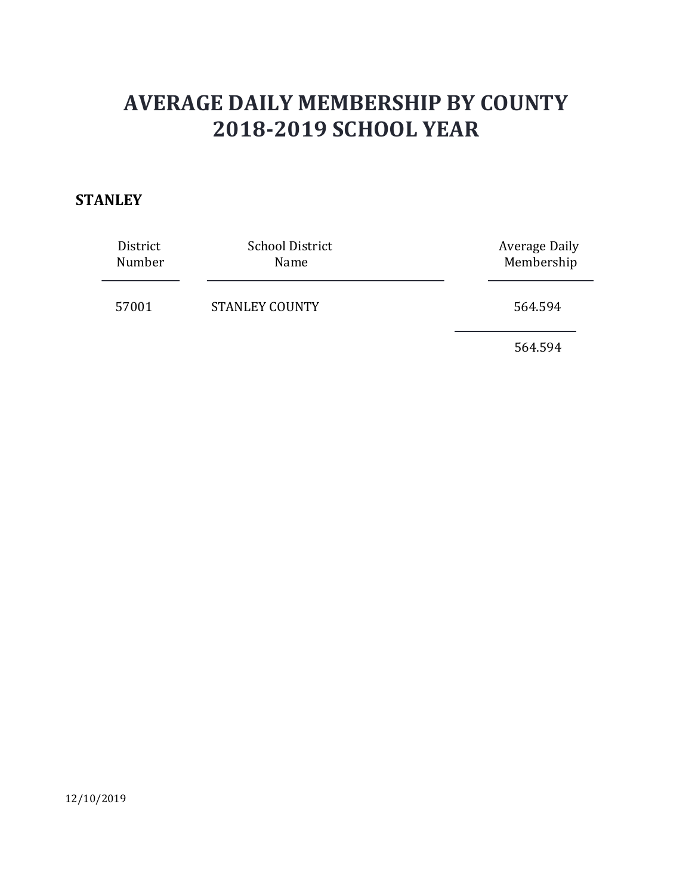#### **STANLEY**

|                    | <b>AVERAGE DAILY MEMBERSHIP BY COUNTY</b> |                                    |
|--------------------|-------------------------------------------|------------------------------------|
|                    | <b>2018-2019 SCHOOL YEAR</b>              |                                    |
| <b><i>NLEY</i></b> |                                           |                                    |
| District<br>Number | <b>School District</b><br>Name            | <b>Average Daily</b><br>Membership |
| 57001              | <b>STANLEY COUNTY</b>                     | 564.594                            |
|                    |                                           | 564.594                            |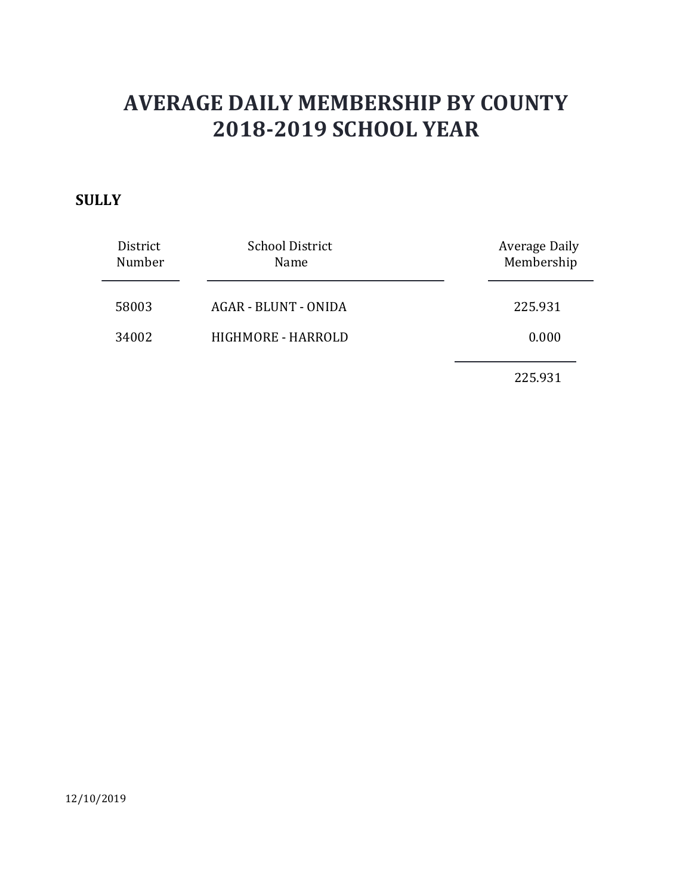### **SULLY**

|                    | <b>AVERAGE DAILY MEMBERSHIP BY COUNTY</b><br><b>2018-2019 SCHOOL YEAR</b> |                                    |
|--------------------|---------------------------------------------------------------------------|------------------------------------|
| <b>LY</b>          |                                                                           |                                    |
| District<br>Number | <b>School District</b><br>Name                                            | <b>Average Daily</b><br>Membership |
| 58003              | AGAR - BLUNT - ONIDA                                                      | 225.931                            |
| 34002              | HIGHMORE - HARROLD                                                        | 0.000                              |
|                    |                                                                           | 225.931                            |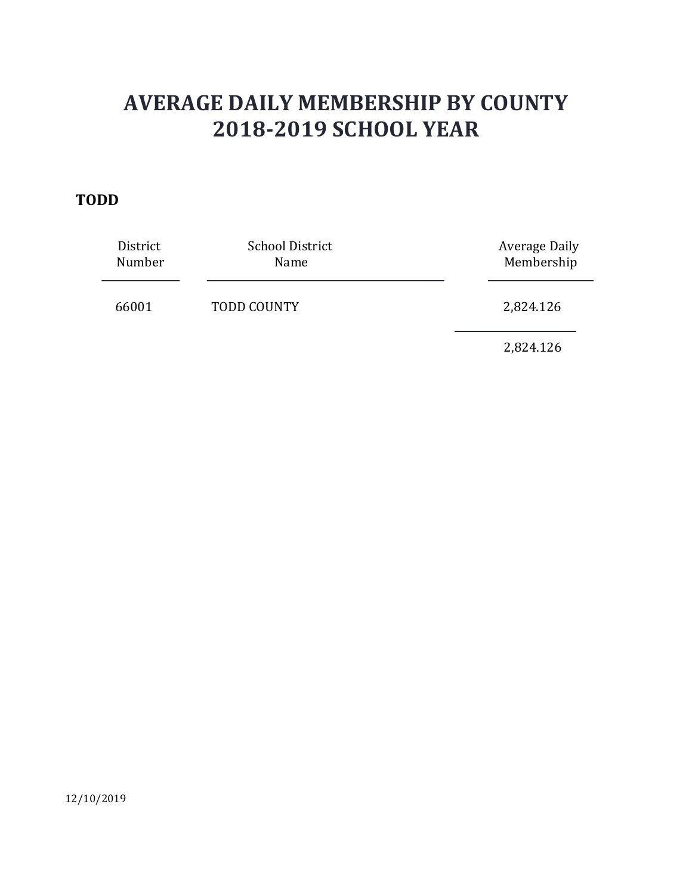### TODD

|                          | <b>AVERAGE DAILY MEMBERSHIP BY COUNTY</b><br><b>2018-2019 SCHOOL YEAR</b> |                                    |
|--------------------------|---------------------------------------------------------------------------|------------------------------------|
| DD<br>District<br>Number | <b>School District</b><br>Name                                            | <b>Average Daily</b><br>Membership |
| 66001                    | TODD COUNTY                                                               | 2,824.126                          |
|                          |                                                                           | 2,824.126                          |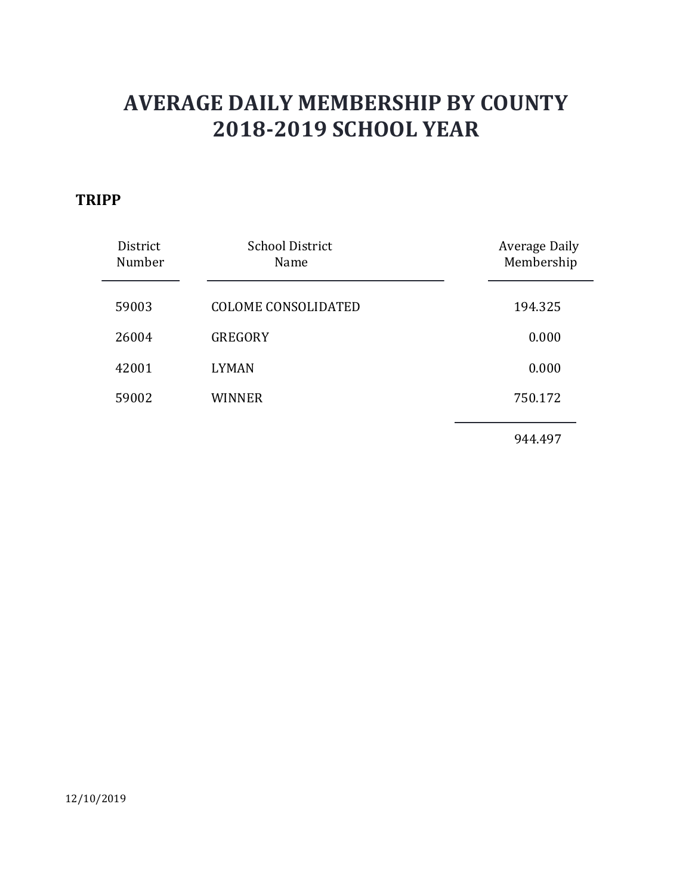### **TRIPP**

|                    | <b>AVERAGE DAILY MEMBERSHIP BY COUNTY</b><br><b>2018-2019 SCHOOL YEAR</b> |                                    |  |
|--------------------|---------------------------------------------------------------------------|------------------------------------|--|
| PP                 |                                                                           |                                    |  |
| District<br>Number | <b>School District</b><br>Name                                            | <b>Average Daily</b><br>Membership |  |
| 59003              | <b>COLOME CONSOLIDATED</b>                                                | 194.325                            |  |
| 26004              | <b>GREGORY</b>                                                            | 0.000                              |  |
| 42001              | <b>LYMAN</b>                                                              | 0.000                              |  |
| 59002              | <b>WINNER</b>                                                             | 750.172                            |  |
|                    |                                                                           | 944.497                            |  |
|                    |                                                                           |                                    |  |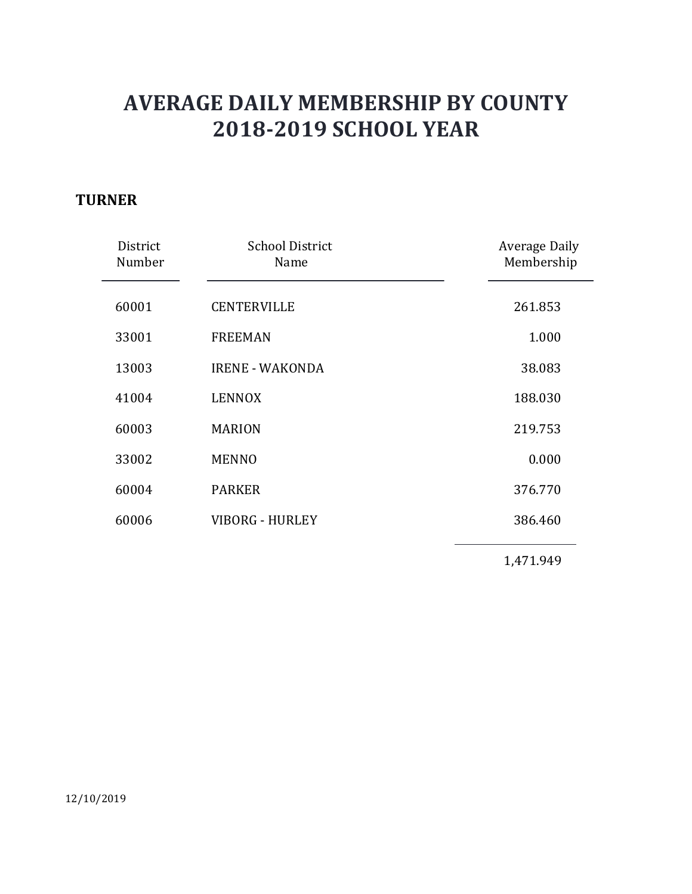### **TURNER**

| <b>AVERAGE DAILY MEMBERSHIP BY COUNTY</b><br><b>2018-2019 SCHOOL YEAR</b><br><b>NER</b><br><b>School District</b><br>District<br>Number<br>Name<br>60001<br><b>CENTERVILLE</b><br>33001<br><b>FREEMAN</b><br>13003<br><b>IRENE - WAKONDA</b><br>41004<br><b>LENNOX</b><br>60003<br><b>MARION</b><br>33002<br><b>MENNO</b> |                                    |
|---------------------------------------------------------------------------------------------------------------------------------------------------------------------------------------------------------------------------------------------------------------------------------------------------------------------------|------------------------------------|
|                                                                                                                                                                                                                                                                                                                           |                                    |
|                                                                                                                                                                                                                                                                                                                           |                                    |
|                                                                                                                                                                                                                                                                                                                           | <b>Average Daily</b><br>Membership |
|                                                                                                                                                                                                                                                                                                                           | 261.853                            |
|                                                                                                                                                                                                                                                                                                                           | 1.000                              |
|                                                                                                                                                                                                                                                                                                                           | 38.083                             |
|                                                                                                                                                                                                                                                                                                                           | 188.030                            |
|                                                                                                                                                                                                                                                                                                                           | 219.753                            |
|                                                                                                                                                                                                                                                                                                                           | 0.000                              |
| 60004<br><b>PARKER</b>                                                                                                                                                                                                                                                                                                    | 376.770                            |
| <b>VIBORG - HURLEY</b><br>60006                                                                                                                                                                                                                                                                                           | 386.460                            |
|                                                                                                                                                                                                                                                                                                                           | 1,471.949                          |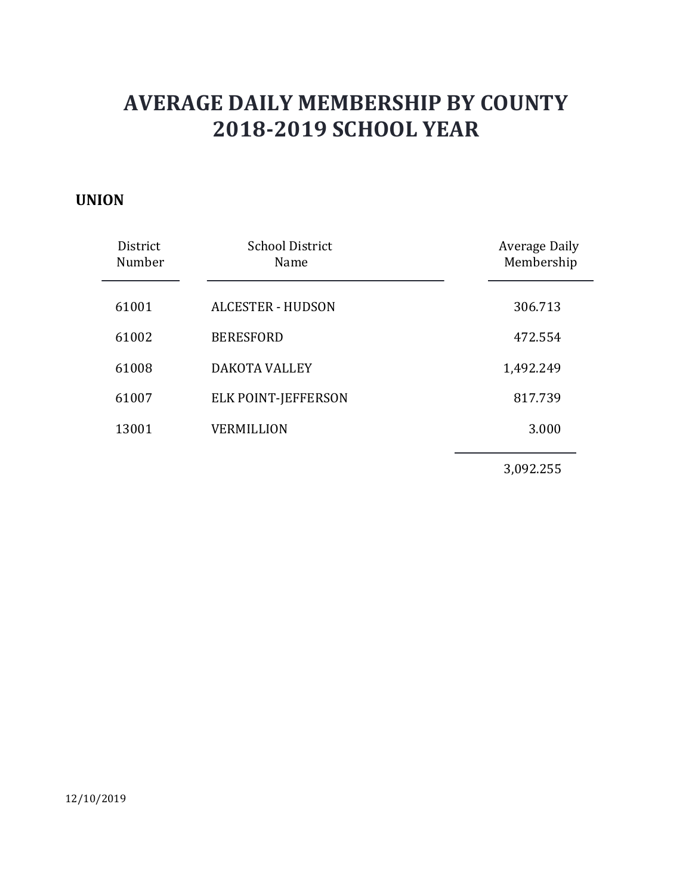#### UNION

| <b>AVERAGE DAILY MEMBERSHIP BY COUNTY</b><br><b>2018-2019 SCHOOL YEAR</b> |                                |                             |  |
|---------------------------------------------------------------------------|--------------------------------|-----------------------------|--|
| <b>IION</b>                                                               |                                |                             |  |
| District<br>Number                                                        | <b>School District</b><br>Name | Average Daily<br>Membership |  |
| 61001                                                                     | <b>ALCESTER - HUDSON</b>       | 306.713                     |  |
| 61002                                                                     | <b>BERESFORD</b>               | 472.554                     |  |
| 61008                                                                     | DAKOTA VALLEY                  | 1,492.249                   |  |
| 61007                                                                     | ELK POINT-JEFFERSON            | 817.739                     |  |
| 13001                                                                     | <b>VERMILLION</b>              | 3.000                       |  |
|                                                                           |                                | 3,092.255                   |  |
|                                                                           |                                |                             |  |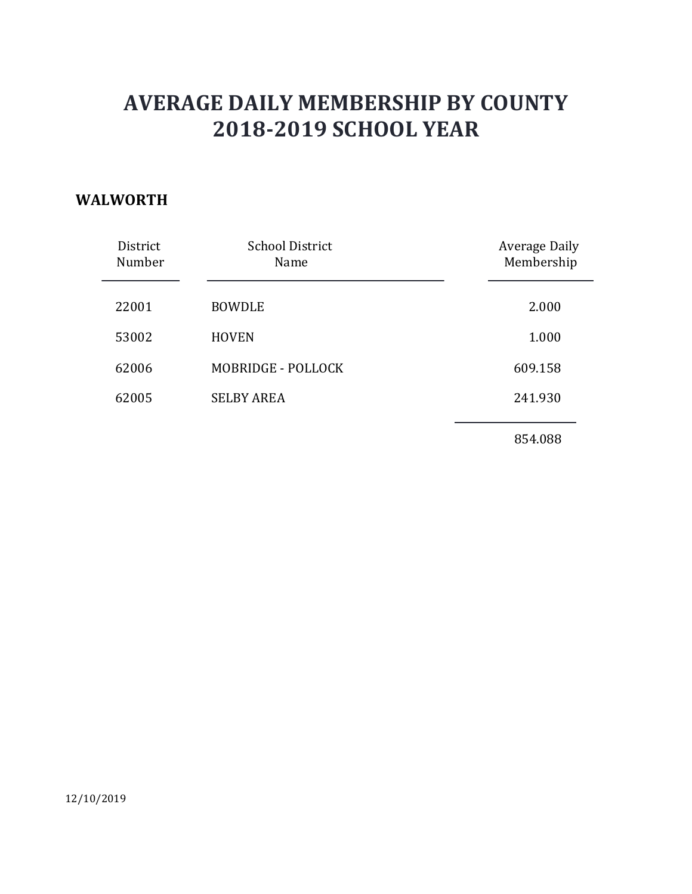#### WALWORTH

| <b>AVERAGE DAILY MEMBERSHIP BY COUNTY</b><br><b>2018-2019 SCHOOL YEAR</b> |                                |                                    |
|---------------------------------------------------------------------------|--------------------------------|------------------------------------|
| <b>LWORTH</b><br>District<br>Number                                       | <b>School District</b><br>Name | <b>Average Daily</b><br>Membership |
|                                                                           |                                |                                    |
| 22001                                                                     | <b>BOWDLE</b>                  | 2.000                              |
| 53002                                                                     | <b>HOVEN</b>                   | 1.000                              |
| 62006                                                                     | MOBRIDGE - POLLOCK             | 609.158                            |
| 62005                                                                     | <b>SELBY AREA</b>              | 241.930                            |
|                                                                           |                                | 854.088                            |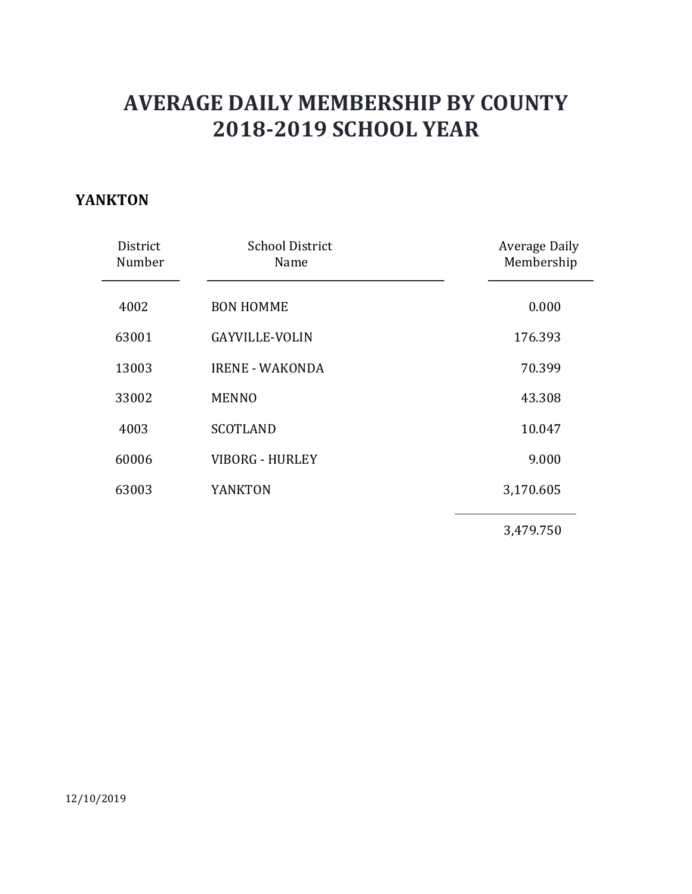### YANKTON

|                    | <b>AVERAGE DAILY MEMBERSHIP BY COUNTY</b><br><b>2018-2019 SCHOOL YEAR</b> |                             |  |
|--------------------|---------------------------------------------------------------------------|-----------------------------|--|
| <b>IKTON</b>       |                                                                           |                             |  |
| District<br>Number | <b>School District</b><br>Name                                            | Average Daily<br>Membership |  |
| 4002               | <b>BON HOMME</b>                                                          | 0.000                       |  |
| 63001              | <b>GAYVILLE-VOLIN</b>                                                     | 176.393                     |  |
| 13003              | <b>IRENE - WAKONDA</b>                                                    | 70.399                      |  |
| 33002              | <b>MENNO</b>                                                              | 43.308                      |  |
| 4003               | <b>SCOTLAND</b>                                                           | 10.047                      |  |
| 60006              | VIBORG - HURLEY                                                           | 9.000                       |  |
| 63003              | <b>YANKTON</b>                                                            | 3,170.605                   |  |
|                    |                                                                           | 3,479.750                   |  |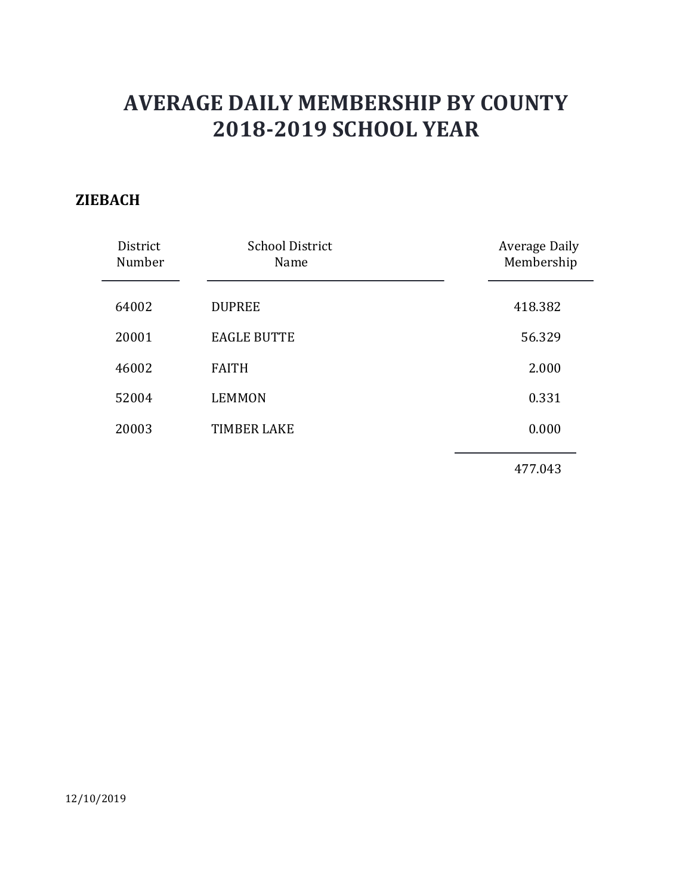#### **ZIEBACH**